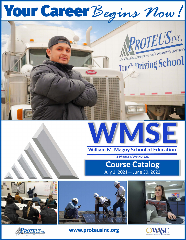# Your Career Begins Now!





### **William M. Maguy School of Education**

*A Division of Proteus, Inc.* 

**Course Catalog**  July 1, 2021- June 30, 2022









**www.proteusinc.org**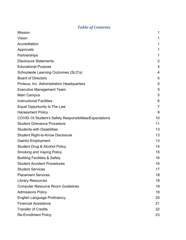### *Table of Contents*

| <b>Mission</b>                                          | 1              |
|---------------------------------------------------------|----------------|
| Vision                                                  | 1              |
| Accreditation                                           | 1              |
| Approvals                                               | 1              |
| Partnerships                                            | 1              |
| <b>Disclosure Statements</b>                            | 2              |
| <b>Educational Purpose</b>                              | $\overline{4}$ |
| Schoolwide Learning Outcomes (SLO's)                    | 4              |
| <b>Board of Directors</b>                               | 5              |
| Proteus, Inc. Administration Headquarters               | 5              |
| <b>Executive Management Team</b>                        | 5              |
| Main Campus                                             | 5              |
| <b>Instructional Facilities</b>                         | 6              |
| Equal Opportunity Is The Law                            | $\overline{7}$ |
| <b>Harassment Policy</b>                                | 9              |
| COVID-19 Student's Safety Responsibilities/Expectations | 10             |
| <b>Student Grievance Procedure</b>                      | 11             |
| <b>Students with Disabilities</b>                       | 13             |
| <b>Student Right-to-Know Disclosure</b>                 | 13             |
| <b>Gainful Employment</b>                               | 13             |
| <b>Student Drug &amp; Alcohol Policy</b>                | 14             |
| <b>Smoking and Vaping Policy</b>                        | 15             |
| <b>Building Facilities &amp; Safety</b>                 | 16             |
| <b>Student Accident Procedures</b>                      | 16             |
| <b>Student Services</b>                                 | 17             |
| <b>Placement Services</b>                               | 18             |
| <b>Library Resources</b>                                | 18             |
| <b>Computer Resource Room Guidelines</b>                | 18             |
| <b>Admissions Policy</b>                                | 19             |
| <b>English Language Proficiency</b>                     | 20             |
| <b>Financial Assistance</b>                             | 21             |
| <b>Transfer of Credits</b>                              | 22             |
| <b>Re-Enrollment Policy</b>                             | 23             |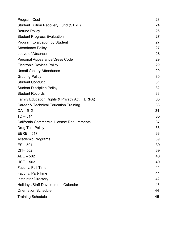| <b>Program Cost</b>                                      | 23 |
|----------------------------------------------------------|----|
| <b>Student Tuition Recovery Fund (STRF)</b>              | 24 |
| <b>Refund Policy</b>                                     | 26 |
| <b>Student Progress Evaluation</b>                       | 27 |
| <b>Program Evaluation by Student</b>                     | 27 |
| <b>Attendance Policy</b>                                 | 27 |
| Leave of Absence                                         | 28 |
| <b>Personal Appearance/Dress Code</b>                    | 29 |
| <b>Electronic Devices Policy</b>                         | 29 |
| <b>Unsatisfactory Attendance</b>                         | 29 |
| <b>Grading Policy</b>                                    | 30 |
| <b>Student Conduct</b>                                   | 31 |
| <b>Student Discipline Policy</b>                         | 32 |
| <b>Student Records</b>                                   | 33 |
| <b>Family Education Rights &amp; Privacy Act (FERPA)</b> | 33 |
| Career & Technical Education Training                    | 33 |
| $OA - 512$                                               | 34 |
| $TD-514$                                                 | 35 |
| <b>California Commercial License Requirements</b>        | 37 |
| <b>Drug Test Policy</b>                                  | 38 |
| $EERE - 517$                                             | 38 |
| <b>Academic Programs</b>                                 | 39 |
| ESL-501                                                  | 39 |
| CIT-502                                                  | 39 |
| $ABE - 502$                                              | 40 |
| $HSE - 503$                                              | 40 |
| Faculty: Full-Time                                       | 41 |
| Faculty: Part-Time                                       | 41 |
| <b>Instructor Directory</b>                              | 42 |
| <b>Holidays/Staff Development Calendar</b>               | 43 |
| <b>Orientation Schedule</b>                              | 44 |
| <b>Training Schedule</b>                                 | 45 |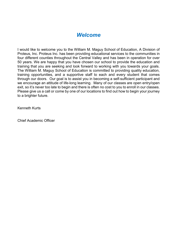### *Welcome*

I would like to welcome you to the William M. Maguy School of Education, A Division of Proteus, Inc. Proteus Inc. has been providing educational services to the communities in four different counties throughout the Central Valley and has been in operation for over 50 years. We are happy that you have chosen our school to provide the education and training that you are seeking and look forward to working with you towards your goals. The William M. Maguy School of Education is committed to providing quality education, training opportunities, and a supportive staff to each and every student that comes through our doors. Our goal is to assist you in becoming a self-sufficient participant and we encourage an attitude of life-long learning. Many of our classes are open entry/open exit, so it's never too late to begin and there is often no cost to you to enroll in our classes. Please give us a call or come by one of our locations to find out how to begin your journey to a brighter future.

Kenneth Kurts

Chief Academic Officer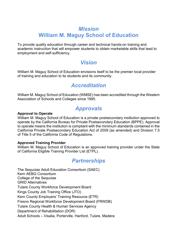### *Mission* **William M. Maguy School of Education**

<span id="page-4-0"></span>To provide quality education through career and technical hands-on training and academic instruction that will empower students to obtain marketable skills that lead to employment and self-sufficiency.

### *Vision*

<span id="page-4-1"></span>William M. Maguy School of Education envisions itself to be the premier local provider of training and education to its students and its community.

### *Accreditation*

<span id="page-4-2"></span>William M. Maguy School of Education (WMSE) has been accredited through the Western Association of Schools and Colleges since 1995.

### *Approvals*

### <span id="page-4-3"></span>**Approval to Operate**

William M. Maguy School of Education is a private postsecondary institution approved to operate by the California Bureau for Private Postsecondary Education (BPPE). Approval to operate means the institution is compliant with the minimum standards contained in the California Private Postsecondary Education Act of 2009 (as amended) and Division 7.5 of Title 5 of the California Code of Regulations.

### **Approved Training Provider**

William M. Maguy School of Education is an approved training provider under the State of California Eligible Training Provider List (ETPL).

### *Partnerships*

<span id="page-4-4"></span>The Sequoias Adult Education Consortium (SAEC) Kern AEBG Consortium College of the Sequoias GRID Alternatives Tulare County Workforce Development Board Kings County Job Training Office (JTO) Kern County Employers' Training Resource (ETR) Fresno Regional Workforce Development Board (FRWDB) Tulare County Health & Human Services Agency Department of Rehabilitation (DOR) Adult Schools – Visalia, Porterville, Hanford, Tulare, Madera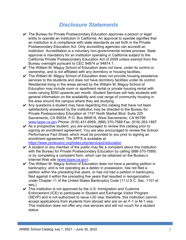### *Disclosure Statements*

- <span id="page-5-0"></span> $\vee$  The Bureau for Private Postsecondary Education approves a person or legal entity to operate an institution in California. An approval to operate signifies that an institution is in compliance with state standards as set forth in the Private Postsecondary Education Act. Only accrediting agencies can accredit an institution. Accreditation is a voluntary non-governmental review process. State approval is mandatory for an institution operating in California subject to the California Private Postsecondary Education Act of 2009 unless exempt from the Bureau oversight pursuant to CEC 94874 or 94874.1.
- $\checkmark$  The William M. Maguy School of Education does not have, under its control or ownership, and is not affiliated with any dormitory or housing facilities.
- $\checkmark$  The William M. Maguy School of Education does not provide housing assistance services to the students and does not have dormitory facilities under its control. Residential living in the areas served by the William M. Maguy School of Education may include room or apartment rental or private housing rental with costs varying \$550 upwards per month. Student Services will help students with general information on the availability and cost range of community housing in the area around the campus where they are studying.
- $\vee$  Any questions a student may have regarding this catalog that have not been satisfactorily answered by the institution may be directed to the Bureau for Private Postsecondary Education at 1747 North Market Blvd. Suite 225 Sacramento, CA 95834. P.O. Box 980818, West Sacramento, CA 95798. [www.bppe.ca.gov](http://www.bppe.ca.gov/) Phone: (916) 431-6959, (888) 370-7589 Fax: (916) 263-1897.
- $\vee$  As a prospective student, you are encouraged to review this catalog prior to signing an enrollment agreement. You are also encouraged to review the School Performance Fact Sheet, which must be provided to you prior to signing an enrollment agreement. The SPFS is available at <https://www.proteusinc.org/index.php/services2/education>
- $\vee$  A student or any member of the public may file a complaint about this institution with the Bureau for Private Postsecondary Education by calling (888-370-7589) or by completing a complaint form, which can be obtained on the Bureau's Internet Web site [\(www.bppe.ca.gov\)](http://www.bppe.ca.gov/).
- $\checkmark$  The William M. Maguy School of Education does not have a pending petition in bankruptcy, and is not operating as a debtor in possession, has not filed a petition within the preceding five years, or has not had a petition in bankruptcy filed against it within the preceding five years that resulted in reorganization under Chapter 11 of the United States Bankruptcy Code (11 U.S.C. Sec. 1101 et seq.).
- $\vee$  This institution is not approved by the U.S. Immigration and Customs Enforcement (ICE) to participate in Student and Exchange Visitor Program (SEVP) and is not authorized to issue I-20 visa; therefore, this institution cannot accept applications from students from abroad who are on an F-1 or M-1 visa. This institution does not offer any visa services and will not vouch for a student status.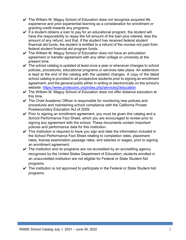- $\vee$  The William M. Maguy School of Education does not recognize acquired life experience and prior experiential learning as a consideration for enrollment or granting credit towards any programs.
- $\vee$  If a student obtains a loan to pay for an educational program, the student will have the responsibility to repay the full amount of the loan plus interest, less the amount of any refund, and that, if the student has received federal student financial aid funds, the student is entitled to a refund of the monies not paid from federal student financial aid program funds.
- $\vee$  The William M. Maguy School of Education does not have an articulation agreement or transfer agreement with any other college or university at the present time.
- $\checkmark$  The school catalog is updated at least once a year or whenever changes to school policies, procedures, educational programs or services take place. An addendum is kept at the end of the catalog with the updated changes. A copy of the latest school catalog is provided to all prospective students prior to signing an enrollment agreement, and the general public either in writing or electronically on the school's website: <https://www.proteusinc.org/index.php/services2/education>
- ✔ The William M. Maguy School of Education does not offer distance education at this time.
- $\checkmark$  The Chief Academic Officer is responsible for monitoring new policies and procedures and maintaining school compliance with the California Private Postsecondary Education Act of 2009.
- $\vee$  Prior to signing an enrollment agreement, you must be given this catalog and a School Performance Fact Sheet, which you are encouraged to review prior to signing any agreement with the school. These documents contain important policies and performance data for this institution.
- $\vee$  This institution is required to have you sign and date the information included in the School Performance Fact Sheet relating to completion rates, placement rates, license examination passage rates, and salaries or wages, prior to signing an enrollment agreement.
- $\checkmark$  The institution and its programs are not accredited by an accrediting agency recognized by the United States Department of Education; students enrolled in an unaccredited institution are not eligible for Federal or State Student Aid programs.
- $\vee$  The institution is not approved to participate in the Federal or State Student Aid programs.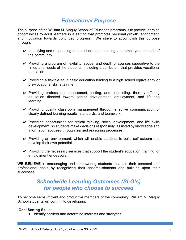### *Educational Purpose*

<span id="page-7-0"></span>The purpose of the William M. Maguy School of Education programs is to provide learning opportunities to adult learners in a setting that promotes personal growth, enrichment, and motivation towards continued progress. We strive to accomplish this purpose through:

- $\vee$  Identifying and responding to the educational, training, and employment needs of the community.
- $\vee$  Providing a program of flexibility, scope, and depth of courses supportive to the times and needs of the students, including a curriculum that provides vocational education.
- $\vee$  Providing a flexible adult basic education leading to a high school equivalency or pre-vocational skill attainment.
- $\checkmark$  Providing professional assessment, testing, and counseling, thereby offering education directed toward career development, employment, and life-long learning.
- ✔ Providing quality classroom management through effective communication of clearly defined learning results, standards, and teamwork.
- $\vee$  Providing opportunities for critical thinking, social development, and life skills development, so students make decisions responsibly, assisted by knowledge and information acquired through learned reasoning processes.
- $\checkmark$  Providing an environment, which will enable students to build self-esteem and develop their own potential.
- $\vee$  Providing the necessary services that support the student's education, training, or employment endeavors.

**WE BELIEVE** in encouraging and empowering students to attain their personal and professional goals by recognizing their accomplishments and building upon their successes.

### *Schoolwide Learning Outcomes (SLO's) for people who choose to succeed*

To become self-sufficient and productive members of the community, William M. Maguy School students will commit to developing:

#### **Goal Setting Skills:**

● Identify barriers and determine interests and strengths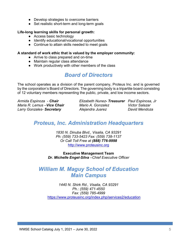- Develop strategies to overcome barriers
- Set realistic short-term and long-term goals

#### **Life-long learning skills for personal growth:**

- Access basic technology
- Identify educational/vocational opportunities
- Continue to attain skills needed to meet goals

#### **A standard of work ethic that is valued by the employer community:**

- Arrive to class prepared and on-time
- Maintain regular class attendance
- Work productively with other members of the class

### *Board of Directors*

<span id="page-8-0"></span>The school operates as a division of the parent company, Proteus Inc. and is governed by the corporation's Board of Directors. The governing body is a tripartite board consisting of 12 voluntary members representing the public, private, and low income sectors.

*Larry Gonzales- Secretary <b><i>Alejandra Juarez* 

*Armida Espinoza - Chair Elizabeth Nunez- Treasurer Paul Espinosa, Jr Maria R. Lemus –Vice Chair Mario A. Gonzalez Victor Salazar*

### <span id="page-8-1"></span>*Proteus, Inc. Administration Headquarters*

*1830 N. Dinuba Blvd., Visalia, CA 93291 Ph: (559) 733-5423 Fax: (559) 738-1137 Or Call Toll Free at (888) 776-9998* http://www.proteusinc.org

**Executive Management Team** *Dr. Michelle Engel-Silva –Chief Executive Officer* 

### <span id="page-8-3"></span><span id="page-8-2"></span>*William M. Maguy School of Education Main Campus*

*1440 N. Shirk Rd., Visalia, CA 93291 Ph.: (559) 471-4550 Fax: (559) 785-4999* <https://www.proteusinc.org/index.php/services2/education>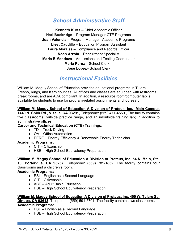### *School Administrative Staff*

**Kenneth Kurts** *–* Chief Academic Officer **Harl Buckridge** – Program Manager-CTE Programs **Juan Valencia** *–* Program Manager- Academic Programs **Liset Caudillo** – Education Program Assistant **Laura Morales** – Compliance and Records Officer **Noah Arzola** – Recruitment Specialist **Maria E Mendoza** – Admissions and Testing Coordinator **Maria Perez** – School Clerk II **Jose Lopez**– School Clerk

### *Instructional Facilities*

<span id="page-9-0"></span>William M. Maguy School of Education provides educational programs in Tulare, Fresno, Kings, and Kern counties. All offices and classes are equipped with restrooms, break rooms, and are ADA compliant. In addition, a resource room/computer lab is available for students to use for program-related assignments and job search.

**William M. Maguy School of Education A Division of Proteus, Inc.- Main Campus 1440 N. Shirk Rd., Visalia, CA 93291,** Telephone: (559) 471-4550., The facility contains five classrooms, outside practice range, and an in/outside training lab; In addition to administrative offices.

### **Career and Technical Education (CTE) Trainings:**

- TD Truck Driving
- OA Office Automation
- EERE Energy Efficiency & Renewable Energy Technician

#### **Academic Programs:**

- CIT Citizenship
- HSE High School Equivalency Preparation

### **William M. Maguy School of Education A Division of Proteus, Inc. 54 N. Main, Ste.**

**10, Porterville, CA 93257**, Telephone: (559) 781-1852. The facility contains four classrooms and a children's room.

#### **Academic Programs:**

- ESL– English as a Second Language
- CIT Citizenship
- ABE Adult Basic Education
- HSE High School Equivalency Preparation

**William M. Maguy School of Education A Division of Proteus, Inc. 400 W. Tulare St., Dinuba, CA 93618**, Telephone: (559) 591-5701. The facility contains two classrooms. **Academic Programs:**

- ESL English as a Second Language
- HSE High School Equivalency Preparation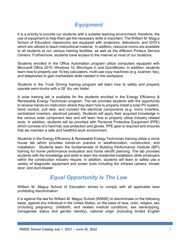### *Equipment*

It is a priority to provide our students with a suitable learning environment; therefore, the use of equipment to help them get the necessary skills is important. The William M. Maguy School of Education classrooms are equipped with projectors, televisions, and DVD's which are utilized to teach instructional material. In addition, resource rooms are available to all students at our various training facilities, as well as the different Proteus Service Centers. Furthermore, students have access to the internet at most of our locations.

Students enrolled in the Office Automation program utilize computers equipped with Microsoft Office 2010, Windows 10, Microtype 5, and QuickBooks. In addition, students learn how to properly use 10-key calculators, multi-use copy machines (e.g. scanner, fax), and telephones to gain marketable skills needed in the workplace.

Students in the Truck Driving training program will learn how to safely and properly operate semi-trucks with a 28' dry van trailer.

A solar training lab is available for the students enrolled in the Energy Efficiency & Renewable Energy Technician program. The lab provides students with the opportunity to receive hands-on instruction where they learn how to properly install a solar PV system, bend conduit, pull wire, and connect the electrical components (e.g. micro inverters, centralized inverters, electrical panels). Students will apply their acquired knowledge in the various solar component labs and will learn how to properly utilize industry related tools. In addition, students will be provided with Personal Protective Equipment (PPE) which consists of a hard hat, eye protection and gloves. PPE gear is required and ensures that we maintain a safe and healthful work environment.

Students in the Energy Efficiency & Renewable Energy Technician training utilize a mock house lab which provides hands-on practice in weatherization, construction, and installation. Students learn the fundamentals of Building Performance Institute (BPI) training for home performance evaluation and home retrofit planning. The lab provides students with the knowledge and skills to learn the residential installation skills employers within the construction industry require. In addition, students will learn to safely use a variety of diagnostic equipment and power tools including the infrared camera, blower door, and duct-blaster.

### <span id="page-10-0"></span>*Equal Opportunity Is The Law*

William M. Maguy School of Education strives to comply with all applicable laws prohibiting discrimination.

It is against the law for William M. Maguy School (WMSE) to discriminate on the following basis: against any individual in the Unites States, on the basis of race, color, religion, sex (including pregnancy, childbirth, and related medical conditions, sex stereotyping, transgender status and gender identity), national origin (including limited English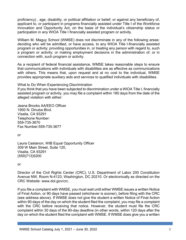proficiency) , age, disability, or political affiliation or belief; or against any beneficiary of, applicant to, or participant in programs financially assisted under Title I of the Workforce Innovation and Opportunity Act, on the basis of the individual's citizenship status or participation in any WIOA Title I financially assisted program or activity.

William M. Maguy School (WMSE) does not discriminate in any of the following areas: deciding who will be admitted, or have access, to any WIOA Title I-financially assisted program or activity; providing opportunities in, or treating any person with regard to, such a program or activity; or making employment decisions in the administration of, or in connection with, such program or activity.

As a recipient of federal financial assistance, WMSE takes reasonable steps to ensure that communications with individuals with disabilities are as effective as communications with others. This means that, upon request and at no cost to the individual, WMSE provides appropriate auxiliary aids and services to qualified individuals with disabilities.

What to Do When Experiencing Discrimination

If you think that you have been subjected to discrimination under a WIOA Title I, financially assisted program or activity, you may file a complaint within 180 days from the date of the alleged violation with either:

Jeana Brooks AA/EEO Officer 1900 N. Dinuba Blvd. Visalia, CA 93291 Telephone Number: 559-735-3670 Fax Number:559-735-3677

or

Laura Castanon, WIB Equal Opportunity Officer 309 W Main Street, Suite 120, Visalia, CA 93291 (559)713)5200

or

Director of the Civil Rights Center (CRC), U.S. Department of Labor 200 Constitution Avenue NW, Room N-4123, Washington, DC 20210. Or electronically as directed on the CRC Website: www.dol.gov/crc.

If you file a complaint with WMSE, you must wait until either WMSE issues a written Notice of Final Action, or 90 days have passed (whichever is sooner), before filing with the CRC (see address above). If WMSE does not give the student a written Notice of Final Action within 90 days of the day on which the student filed the complaint, you may file a complaint with the CRC before receiving that notice. However, the student must file the CRC complaint within 30 days of the 90-day deadline (in other words, within 120 days after the day on which the student filed the complaint with WMSE. If WMSE does give you a written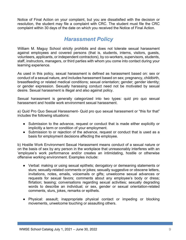Notice of Final Action on your complaint, but you are dissatisfied with the decision or resolution, the student may file a complaint with CRC. The student must file the CRC complaint within 30 days of the date on which you received the Notice of Final Action.

### *Harassment Policy*

William M. Maguy School strictly prohibits and does not tolerate sexual harassment against employees and covered persons (that is, students, interns, visitors, guests, volunteers, applicants, or independent contractors), by co-workers, supervisors, students, staff, instructors, managers, or third parties with whom you come into contact during your learning experience.

As used in this policy, sexual harassment is defined as harassment based on: sex or conduct of a sexual nature, and includes harassment based on sex; pregnancy, childbirth, breastfeeding or related medical conditions; sexual orientation; gender; gender identity; or gender expression. Sexually harassing conduct need not be motivated by sexual desire. Sexual harassment is illegal and also against policy.

Sexual harassment is generally categorized into two types: quid pro quo sexual harassment and hostile work environment sexual harassment.

a) Quid Pro Quo Sexual Harassment- Quid pro quo sexual harassment or "this for that" includes the following situations:

- Submission to the advance, request or conduct that is made either explicitly or implicitly a term or condition of your employment.
- Submission to or rejection of the advance, request or conduct that is used as a basis for employment decisions affecting the employee.

b) Hostile Work Environment Sexual Harassment means conduct of a sexual nature or on the basis of sex by any person in the workplace that unreasonably interferes with an 'employee's work performance and/or creates an intimidating, hostile or otherwise offensive working environment. Examples include:

- Verbal: making or using sexual epithets; derogatory or demeaning statements or slurs; sexually-related comments or jokes; sexually suggestive or obscene letters, invitations, notes, emails, voicemails or gifts; unwelcome sexual advances or requests for sexual favors; comments about any employee's body or dress; flirtation; teasing; conversations regarding sexual activities; sexually degrading words to describe an individual; or sex, gender or sexual orientation-related comments, slurs, jokes, remarks or epithets.
- Physical: assault; inappropriate physical contact or impeding or blocking movements, unwelcome touching or assaulting others.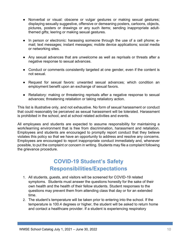- Nonverbal or visual: obscene or vulgar gestures or making sexual gestures; displaying sexually suggestive, offensive or demeaning posters, cartoons, objects, pictures, posters or drawings or any such items; sending inappropriate adultthemed gifts; leering or making sexual gestures.
- In person or electronic: harassing someone through the use of a cell phone; email; text messages; instant messages; mobile device applications; social media or networking sites.
- Any sexual advances that are unwelcome as well as reprisals or threats after a negative response to sexual advances.
- Conduct or comments consistently targeted at one gender, even if the content is not sexual.
- Request for sexual favors: unwanted sexual advances; which condition an employment benefit upon an exchange of sexual favors.
- Retaliatory: making or threatening reprisals after a negative response to sexual advances; threatening retaliation or taking retaliatory action.

This list is illustrative only, and not exhaustive. No form of sexual harassment or conduct that could reasonably be perceived as sexual harassment will be tolerated. Harassment is prohibited in the school, and at school related activities and events.

All employees and students are expected to assume responsibility for maintaining a work/learning environment that is free from discrimination, harassment and retaliation. Employees and students are encouraged to promptly report conduct that they believe violates this policy so that we have an opportunity to address and resolve any concerns. Employees are encouraged to report inappropriate conduct immediately and, whenever possible, to put the complaint or concern in writing. Students may file a complaint following the grievance procedure.

# **COVID-19 Student's Safety Responsibilities/Expectations**

- 1. All students, guests, and visitors will be screened for COVID-19 related symptoms. Students must answer the questions honestly for the sake of their own health and the health of their fellow students. Student responses to the questions may prevent them from attending class that day or for an extended time.
- 2. The student's temperature will be taken prior to entering into the school. If the temperature is 100.4 degrees or higher, the student will be asked to return home and contact a healthcare provider. If a student is experiencing respiratory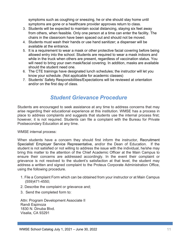symptoms such as coughing or sneezing, he or she should stay home until symptoms are gone or a healthcare provider approves return to class.

- 3. Students will be expected to maintain social distancing, staying six feet away from others, when feasible. Only one person at a time can enter the facility. The chairs in the classroom have been spaced out and should not be moved.
- 4. Students must wash their hands or use hand sanitizer; a dispenser will be available at the entrance.
- 5. It is a requirement to wear a mask or other protective facial covering before being allowed entry into the school. Students are required to wear a mask indoors and while in the truck when others are present, regardless of vaccination status. You will need to bring your own mask/facial covering. In addition, masks are available should the student need one.
- 6. The CTE trainings have designated lunch schedules; the instructor will let you know your schedule. (Not applicable for academic classes)
- 7. Students' Safety Responsibilities/Expectations will be reviewed at orientation and/or on the first day of class.

### *Student Grievance Procedure*

Students are encouraged to seek assistance at any time to address concerns that may arise regarding their educational experience at this institution. WMSE has a process in place to address complaints and suggests that students use the internal process first; however, it is not required. Students can file a complaint with the Bureau for Private Postsecondary Education at any time.

WMSE internal process:

When students have a concern they should first inform the instructor, Recruitment Specialist/ Employer Service Representative, and/or the Dean of Education. If the student is not satisfied or not willing to address the issue with the individual, he/she may bring this matter to the attention of the Chief Academic Officer at the Main Campus to ensure their concerns are addressed accordingly. In the event their complaint or grievance is not resolved to the student's satisfaction at that level, the student may address a written and signed complaint to the Proteus Corporate Administration Office, using the following procedure.

- 1. File a Complaint Form which can be obtained from your instructor or at Main Campus (559)471-4550;
- 2. Describe the complaint or grievance and;
- 3. Send the completed form to:

Attn: Program Development Associate II Randi Espinoza 1830 N. Dinuba Blvd. Visalia, CA 93291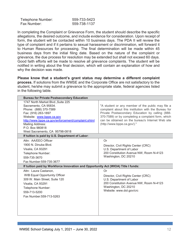| Telephone Number: | 559-733-5423 |
|-------------------|--------------|
| Fax Number:       | 559-738-1137 |

In completing the Complaint or Grievance Form, the student should describe the specific allegations, the desired outcome, and include evidence for consideration. Upon receipt of form, the student will be contacted within 10 business days. The PDA II will review the type of complaint and if it pertains to sexual harassment or discrimination, will forward it to Human Resources for processing. The final determination will be made within 45 business days from the initial filing date. Based on the nature of the complaint or grievance, the due process for resolution may be extended but shall not exceed 60 days. Good faith efforts will be made to resolve all grievance complaints. The student will be notified in writing about the final decision, which will contain an explanation of how and why the decision was made.

**Please know that a student's grant status may determine a different complaint process.** If solutions from the WMSE and the Corporate Office are not satisfactory to the student, he/she may submit a grievance to the appropriate state, federal agencies listed in the following table.

| "A student or any member of the public may file a<br>complaint about this institution with the Bureau for                                                                                  |
|--------------------------------------------------------------------------------------------------------------------------------------------------------------------------------------------|
| Private Postsecondary Education by calling (888-<br>370-7589) or by completing a complaint form, which<br>can be obtained on the bureau's Internet Web site<br>(http://www.bppe.ca.gov/)." |
|                                                                                                                                                                                            |
| Or<br>Director, Civil Rights Center (CRC)<br>U.S. Department of Labor<br>200 Constitution Avenue NW, Room N-4123<br>Washington, DC 20210                                                   |
| If tuition paid by Workforce Innovation and Opportunity Act (WIOA) Title I funds:                                                                                                          |
| Or<br>Director, Civil Rights Center (CRC)<br>U.S. Department of Labor<br>200 Constitution Avenue NW, Room N-4123<br>Washington, DC 20210<br>Website: www.dol.gov/crc                       |
|                                                                                                                                                                                            |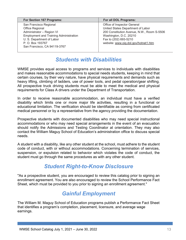| For Section 167 Programs:                                                                                                                                                                                | For all DOL Programs:                                                                                                                                                                                     |
|----------------------------------------------------------------------------------------------------------------------------------------------------------------------------------------------------------|-----------------------------------------------------------------------------------------------------------------------------------------------------------------------------------------------------------|
| San Francisco Regional<br>Office Regional<br>Administrator - Region VI<br><b>Employment and Training Administration</b><br>U. S. Department of Labor<br>P. O. Box 193767<br>San Francisco, CA 94119-3767 | Office of Inspector General<br>United States Department of Labor<br>200 Constitution Avenue, N.W., Room S-5506<br>Washington, D.C. 20210<br>Fax to (202) 693-5210<br>website: www.oig.dol.gov/hotnet1.htm |

### *Students with Disabilities*

<span id="page-16-0"></span>WMSE provides equal access to programs and services to individuals with disabilities and makes reasonable accommodations to special needs students, keeping in mind that certain courses, by their very nature, have physical requirements and demands such as heavy lifting, climbing of ladders, use of power tools, and pedal operation/gear shifting. All prospective truck driving students must be able to meet the medical and physical requirements for Class A drivers under the Department of Transportation.

In order to receive reasonable accommodation, an individual must have a verified disability which limits one or more major life activities, resulting in a functional or educational limitation. The verification should be identifiable as coming from certificated medical personnel or by a representative from the agency providing the documentation.

Prospective students with documented disabilities who may need special instructional accommodations or who may need special arrangements in the event of an evacuation should notify the Admissions and Testing Coordinator at orientation. They may also contact the William Maguy School of Education's administration office to discuss special needs.

A student with a disability, like any other student at the school, must adhere to the student code of conduct, with or without accommodations. Concerning termination of services, suspension, or expulsion related to behavior which violates the code of conduct, the student must go through the same procedures as with any other student.

### *Student Right-to-Know Disclosure*

<span id="page-16-1"></span>"As a prospective student, you are encouraged to review this catalog prior to signing an enrollment agreement. You are also encouraged to review the School Performance Fact Sheet, which must be provided to you prior to signing an enrollment agreement."

### *Gainful Employment*

<span id="page-16-2"></span>The William M. Maguy School of Education programs publish a Performance Fact Sheet that identifies a program's completion, placement, licensure, and average wage earnings.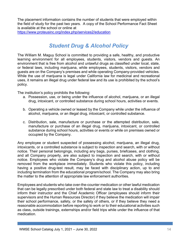The placement information contains the number of students that were employed within the field of study for the past two years. A copy of the School Performance Fact Sheet is available at the school or online at

<https://www.proteusinc.org/index.php/services2/education>

### *Student Drug & Alcohol Policy*

<span id="page-17-0"></span>The William M. Maguy School is committed to providing a safe, healthy, and productive learning environment for all employees, students, visitors, vendors and guests. An environment that is free from alcohol and unlawful drugs as classified under local, state, or federal laws, including marijuana, while employees, students, visitors, vendors and guests are on the Company's premises and while operating Company-provided vehicles. While the use of marijuana is legal under California law for medicinal and recreational uses, it remains an illegal drug under federal law and its use is prohibited by the school's policy.

The institution's policy prohibits the following:

- a. Possession, use, or being under the influence of alcohol, marijuana, or an illegal drug, intoxicant, or controlled substance during school hours, activities or events.
- b. Operating a vehicle owned or leased by the Company while under the influence of alcohol, marijuana, or an illegal drug, intoxicant, or controlled substance.
- c. Distribution, sale, manufacture or purchase or the attempted distribution, sale, manufacture or purchase of an illegal drug, marijuana, intoxicant, or controlled substance during school hours, activities or events or while on premises owned or occupied by the Company.

Any employee or student suspected of possessing alcohol, marijuana, an illegal drug, intoxicants, or a controlled substance is subject to inspection and search, with or without notice. Their personal belongings, including any bags, purses, briefcases, and clothing, and all Company property, are also subject to inspection and search, with or without notice. Employees who violate the Company's drug and alcohol abuse policy will be removed from the workplace immediately. Students who violate this policy, including having a positive drug-test result, may be faced with disciplinary action, up to and including termination from the educational program/school. The Company may also bring the matter to the attention of appropriate law enforcement authorities.

Employees and students who take over-the-counter medication or other lawful medication that can be legally prescribed under both federal and state law to treat a disability should inform their instructor and the Chief Academic Officer (employees should inform their supervisors and the Human Resources Director) if they believe the medication will impair their school performance, safety, or the safety of others, or if they believe they need a reasonable accommodation before reporting to work or to their educational activities such as class, outside trainings, externships and/or field trips while under the influence of that medication.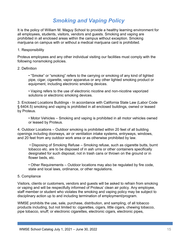### *Smoking and Vaping Policy*

It is the policy of William M. Maguy School to provide a healthy learning environment for all employees, students, visitors, vendors and guests. Smoking and vaping are prohibited in all enclosed areas within the campus without exception. Smoking marijuana on campus with or without a medical marijuana card is prohibited.

#### 1. Responsibility

Proteus employees and any other individual visiting our facilities must comply with the following nonsmoking policies.

#### 2. Definition

• "Smoke" or "smoking" refers to the carrying or smoking of any kind of lighted pipe, cigar, cigarette, vapor apparatus or any other lighted smoking product or equipment, including electronic smoking devices.

• Vaping refers to the use of electronic nicotine and non-nicotine vaporized solutions or electronic smoking devices.

3. Enclosed Locations Buildings - In accordance with California State Law (Labor Code § 6404.5) smoking and vaping is prohibited in all enclosed buildings, owned or leased by Proteus.

• Motor Vehicles – Smoking and vaping is prohibited in all motor vehicles owned or leased by Proteus.

4. Outdoor Locations – Outdoor smoking is prohibited within 20 feet of all building openings including doorways, air or ventilation intake systems, entryways, windows, and 20 feet from any outdoor work area or as otherwise prohibited by law.

• Disposing of Smoking Refuse – Smoking refuse, such as cigarette butts, burnt tobacco etc. are to be disposed of in ash urns or other containers specifically designated for such disposal, not in trash cans or thrown on the ground or in flower beds, etc.

• Other Requirements – Outdoor locations may also be regulated by fire code, state and local laws, ordinance, or other regulations.

#### 5. Compliance

Visitors, clients or customers, vendors and guests will be asked to refrain from smoking or vaping and will be respectfully informed of Proteus' clean air policy. Any employee, staff member or student who violates the smoking and vaping policy may be subject to disciplinary action up to and including termination of employment/program.

WMSE prohibits the use, sale, purchase, distribution, and sampling, of all tobacco products including, but not limited to: cigarettes, cigars, little cigars, chewing tobacco, pipe tobacco, snuff; or electronic cigarettes, electronic cigars, electronic pipes,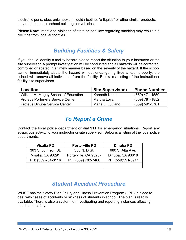electronic pens, electronic hookah, liquid nicotine, "e-liquids" or other similar products, may not be used in school buildings or vehicles.

**Please Note:** Intentional violation of state or local law regarding smoking may result in a civil fine from local authorities.

### *Building Facilities & Safety*

If you should identify a facility hazard please report the situation to your instructor or the site supervisor. A prompt investigation will be conducted and all hazards will be corrected, controlled or abated in a timely manner based on the severity of the hazard. If the school cannot immediately abate the hazard without endangering lives and/or property, the school will remove all individuals from the facility. Below is a listing of the instructional facility site supervisors.

| Location                                  | <b>Site Supervisors</b> | <b>Phone Number</b> |
|-------------------------------------------|-------------------------|---------------------|
| William M. Maguy School of Education      | Kenneth Kurts           | $(559)$ 471-4550    |
| <b>Proteus Porterville Service Center</b> | Martha Loya             | (559) 781-1852      |
| <b>Proteus Dinuba Service Center</b>      | Maria L. Luviano        | $(559) 591 - 5701$  |

### *To Report a Crime*

Contact the local police department or dial **911** for emergency situations. Report any suspicious activity to your instructor or site supervisor. Below is a listing of the local police departments.

| <b>Visalia PD</b>  | <b>Porterville PD</b> | Dinuba PD         |
|--------------------|-----------------------|-------------------|
| 303 S. Johnson St. | 350 N. D St.          | 680 S. Alta Ave.  |
| Visalia, CA 93291  | Porterville, CA 93257 | Dinuba, CA 93618  |
| PH: (559)734-8116  | PH: (559) 782-7400    | PH: (559)591-5911 |
|                    |                       |                   |

### *Student Accident Procedure*

<span id="page-19-0"></span>WMSE has the Safety Plan /Injury and Illness Prevention Program (IIPP) in place to deal with cases of accidents or sickness of students in school. The plan is readily available. There is also a system for investigating and reporting instances affecting health and safety.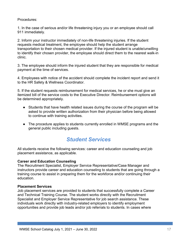Procedures:

1. In the case of serious and/or life threatening injury you or an employee should call 911 immediately.

2. Inform your instructor immediately of non-life threatening injuries. If the student requests medical treatment, the employee should help the student arrange transportation to their chosen medical provider. If the injured student is unable/unwilling to identify their chosen provider, the employee should direct them to the nearest walk-in clinic.

3. The employee should inform the injured student that they are responsible for medical payment at the time of services.

4. Employees with notice of the accident should complete the incident report and send it to the HR Safety & Wellness Coordinator.

5. If the student requests reimbursement for medical services, he or she must give an itemized bill of the service costs to the Executive Director. Reimbursement options will be determined appropriately.

- Students that have health related issues during the course of the program will be asked to provide written authorization from their physician before being allowed to continue with training activities.
- The procedure applies to students currently enrolled in WMSE programs and the general public including guests.

### *Student Services*

<span id="page-20-0"></span>All students receive the following services: career and education counseling and job placement assistance, as applicable.

### **Career and Education Counseling**

The Recruitment Specialist, Employer Service Representative/Case Manager and instructors provide career and education counseling to students that are going through a training course to assist in preparing them for the workforce and/or continuing their education.

#### <span id="page-20-1"></span>**Placement Services**

Job placement services are provided to students that successfully complete a Career and Technical Training Course. The student works directly with the Recruitment Specialist and Employer Service Representative for job search assistance. These individuals work directly with industry-related employers to identify employment opportunities and provide job leads and/or job referrals to students. In cases where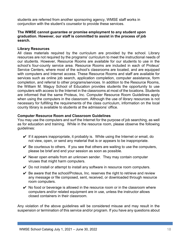students are referred from another sponsoring agency, WMSE staff works in conjunction with the student's counselor to provide these services.

#### **The WMSE cannot guarantee or promise employment to any student upon graduation. However, our staff is committed to assist in the process of job search.**

#### <span id="page-21-0"></span>**Library Resources**

All class materials required by the curriculum are provided by the school. Library resources are not required by the programs' curriculum to meet the instructional needs of our students. However, Resource Rooms are available for our students to use in the school's four-county service area. Resource Rooms are included in each of Proteus' Service Centers, where most of the school's classrooms are located, and are equipped with computers and Internet access. These Resource Rooms and staff are available for services such as online job search, application completion, computer assistance, form completion, and referral to other programs/services. In addition to the Resource Rooms, the William M. Maguy School of Education provides students the opportunity to use computers with access to the Internet in the classrooms at most of the locations. Students are informed that the same Proteus, Inc. Computer Resource Room Guidelines apply when using the computers in the classroom. Although the use of library resources is not necessary for fulfilling the requirements of the class curriculum, information on the local county library is available to students at the admissions' office.

#### <span id="page-21-1"></span>**Computer Resource Room and Classroom Guidelines**

You may use the computers and surf the Internet for the purpose of job searching, as well as for education and training. While in the resource room, please observe the following guidelines:

- $\vee$  If it appears inappropriate, it probably is. While using the Internet or email, do not view, open, or send any material that is or appears to be inappropriate.
- $\vee$  Be courteous to others. If you see that others are waiting to use the computers, please be brief and end your session as soon as possible.
- $\vee$  Never open emails from an unknown sender. They may contain computer viruses that might harm computers.
- $\vee$  Do not install or attempt to install any software in resource room computers.
- $\vee$  Be aware that the school/Proteus, Inc. reserves the right to retrieve and review any message or file composed, sent, received, or downloaded through resource room computers.
- $\vee$  No food or beverage is allowed in the resource room or in the classroom where computers and/or related equipment are in use, unless the instructor allows closed containers in their classroom.

Any violation of the above guidelines will be considered misuse and may result in the suspension or termination of this service and/or program. If you have any questions about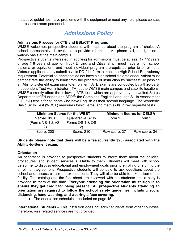the above guidelines, have problems with the equipment or need any help, please contact the resource room personnel.

### *Admissions Policy*

#### <span id="page-22-0"></span>**Admissions Process for CTE and ESL/CIT Programs**

WMSE welcomes prospective students with inquiries about the program of choice. A school representative is available to provide information via phone call, email, or on a walk-in basis at the main campus.

Prospective students interested in applying for admissions must be at least 17 1/2 years of age (18 years of age for Truck Driving and Citizenship), must have a high school diploma or equivalent, and meet individual program prerequisites prior to enrollment. Veteran applicants may submit a valid DD-214 form to meet the High School Equivalency requirement. Potential students that do not have a high school diploma or equivalent must demonstrate the ability to learn from the program of instruction by successfully passing an Ability-to-Benefit exam prior to enrollment. ATB exams are conducted by a third-party Independent Test Administrator (ITA) at the WMSE main campus and satellite locations. WMSE currently offers the following ATB tests which are approved by the United States Department of Education and BPPE: the Combined English Language Skills Assessment (CELSA) test is for students who have English as their second language. The Wonderlic Basic Skills Test (WBST) measures basic verbal and math skills in two separate tests.

|                      | <b>Minimum Scores for the WBST</b> | <b>Minimum Scores for CELSA</b> |               |  |  |
|----------------------|------------------------------------|---------------------------------|---------------|--|--|
| <b>Verbal Skills</b> | <b>Quantitative Skills</b>         |                                 | Form 2        |  |  |
| (Forms VS-1 & VS-    | (Forms QS-1 & QS-                  |                                 |               |  |  |
|                      |                                    |                                 |               |  |  |
| Score: 200           | Score: 210                         | Raw score: 37                   | Raw score: 34 |  |  |

#### **Students please note that there will be a fee (currently \$20) associated with the Ability-to-Benefit exam.**

#### **Orientation**

An orientation is provided to prospective students to inform them about the policies, procedures, and student services available to them. Students will meet with school personnel to discuss educational and employment goals prior to enrolling or signing the enrollment agreement. Prospective students will be able to ask questions about the school and discuss classroom expectations. They will also be able to take a tour of the facility. The catalog and the fact sheet are reviewed with the students and a copy is provided to them at this time. **Everyone attending the orientation must sign in to ensure they get credit for being present. All prospective students attending an orientation are required to follow the school safety guidelines including social distancing, hand-washing, and wearing a face covering.** 

• The orientation schedule is included on page 45.

**International Students** – This institution does not admit students from other countries; therefore, visa related services are not provided.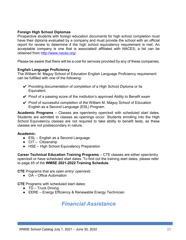### **Foreign High School Diplomas**

Prospective students with foreign education documents for high school completion must have their diploma evaluated by a company and must provide the school with an official report for review to determine if the high school equivalency requirement is met. An acceptable company is one that is associated/ affiliated with NACES; a list can be obtained from<http://www.naces.org/>

Please be aware that there will be a cost for services provided by any of these companies.

### <span id="page-23-0"></span>**English Language Proficiency**

The William M. Maguy School of Education English Language Proficiency requirement can be fulfilled with one of the following:

- $\vee$  Providing documentation of completion of a High School Diploma or its Equivalent.
- $\vee$  Proof of a passing score of the institution's approved Ability to Benefit exam
- $\vee$  Proof of successful completion of the William M. Maguy School of Education English as a Second Language (ESL) Program.

**Academic Programs** – Classes are open/entry open/exit with scheduled start dates. Students are admitted to classes as openings occur. Students enrolling into the High School Equivalency classes are not required to take ability to benefit tests, as these classes are not postsecondary in nature.

#### **Academic:**

- ESL English as a Second Language
- $\bullet$  CIT Citizenship
- HSE High School Equivalency Preparation

**Career Technical Education Training Programs** – CTE classes are either open/entry open/exit or have scheduled start dates. To find out the training start dates, please refer to page 45 of the **WMSE 2021-2022 Training Schedule.**

**CTE** Programs that are open entry/ open/exit:

● OA – Office Automation

**CTE** Programs with scheduled start dates:

- $\bullet$  TD Truck Driving
- <span id="page-23-1"></span>● EERE – Energy Efficiency & Renewable Energy Technician

### *Financial Assistance*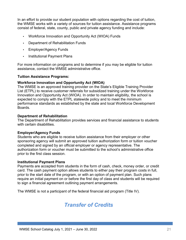In an effort to provide our student population with options regarding the cost of tuition, the WMSE works with a variety of sources for tuition assistance. Assistance programs consist of federal, state, county, public and private agency funding and include:

- Workforce Innovation and Opportunity Act (WIOA) Funds
- Department of Rehabilitation Funds
- Employer/Agency Funds
- Institutional Payment Plans

For more information on programs and to determine if you may be eligible for tuition assistance, contact the WMSE administrative office.

#### **Tuition Assistance Programs:**

#### **Workforce Innovation and Opportunity Act (WIOA)**

The WMSE is an approved training provider on the State's Eligible Training Provider List (ETPL) to receive customer referrals for subsidized training under the Workforce Innovation and Opportunity Act (WIOA). In order to maintain eligibility, the school is expected to comply with the ETPL statewide policy and to meet the minimum performance standards as established by the state and local Workforce Development Boards.

#### **Department of Rehabilitation**

The Department of Rehabilitation provides services and financial assistance to students with certain disabilities.

### **Employer/Agency Funds**

Students who are eligible to receive tuition assistance from their employer or other sponsoring agency will submit an approved tuition authorization form or tuition voucher completed and signed by an official employer or agency representative. The authorization form or voucher must be submitted to the school's administrative office prior to the first class session.

#### **Institutional Payment Plans**

Payments are accepted from students in the form of cash, check, money order, or credit card. The cash payment option allows students to either pay their program costs in full, prior to the start date of the program, or with an option of payment plan. Such plans require an initial payment on or before the first day of class and students will be required to sign a financial agreement outlining payment arrangements.

<span id="page-24-0"></span>The WMSE is not a participant of the federal financial aid program (Title IV).

### *Transfer of Credits*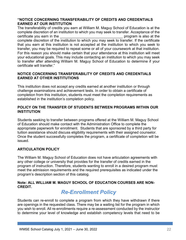### **"NOTICE CONCERNING TRANSFERABILITY OF CREDITS AND CREDENTIALS EARNED AT OUR INSTITUTION**

The transferability of credits you earn at William M. Maguy School of Education is at the complete discretion of an institution to which you may seek to transfer. Acceptance of the certificate you earn in the earn is the set of the set of the set of the set of the set of the set of the set o complete discretion of the institution to which you may seek to transfer. If the certificate that you earn at this institution is not accepted at the institution to which you seek to transfer, you may be required to repeat some or all of your coursework at that institution. For this reason you should make certain that your attendance at this institution will meet your educational goals. This may include contacting an institution to which you may seek to transfer after attending William M. Maguy School of Education to determine if your certificate will transfer."

### **NOTICE CONCERNING TRANSFERABILITY OF CREDITS AND CREDENTIALS EARNED AT OTHER INSTITUTIONS**

This institution does not accept any credits earned at another institution or through challenge examinations and achievement tests. In order to obtain a certificate of completion from this institution, students must meet the completion requirements as established in the institution's completion policy.

### **POLICY ON THE TRANSFER OF STUDENTS BETWEEN PROGRAMS WITHIN OUR INSTITUTION**

Students seeking to transfer between programs offered at the William M. Maguy School of Education should make contact with the Administration Office to complete the appropriate paperwork for enrollment. Students that are sponsored by a third party for tuition assistance should discuss eligibility requirements with their assigned counselor. Once the student successfully completes the program, a certificate of completion will be issued.

### **ARTICULATION POLICY**

The William M. Maguy School of Education does not have articulation agreements with any other college or university that provides for the transfer of credits earned in the program of instruction. Therefore, students wanting to enroll in a desired program must meet the admission requirements and the required prerequisites as indicated under the program's description section of this catalog.

### <span id="page-25-0"></span>**Note: ALL WILLIAM M. MAGUY SCHOOL OF EDUCATION COURSES ARE NON-CREDIT.**

### *Re-Enrollment Policy*

Students can re-enroll to complete a program from which they have withdrawn if there are openings in the requested class. There may be a waiting list for the program in which you wish to enroll. All re-enrollments require a re-assessment conducted by the instructor to determine your level of knowledge and establish competency levels that need to be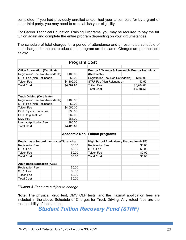completed. If you had previously enrolled and/or had your tuition paid for by a grant or other third party, you may need to re-establish your eligibility.

For Career Technical Education Training Programs, you may be required to pay the full tuition again and complete the entire program depending on your circumstances.

The schedule of total charges for a period of attendance and an estimated schedule of total charges for the entire educational program are the same. Charges are per the table below:

| <b>Program Cost</b>                      |  |  |            |  |                                                                             |                                   |            |  |            |  |
|------------------------------------------|--|--|------------|--|-----------------------------------------------------------------------------|-----------------------------------|------------|--|------------|--|
|                                          |  |  |            |  |                                                                             |                                   |            |  |            |  |
| <b>Office Automation (Certificate)</b>   |  |  |            |  | <b>Energy Efficiency &amp; Renewable Energy Technician</b>                  |                                   |            |  |            |  |
| Registration Fee (Non-Refundable)        |  |  | \$100.00   |  | (Certificate)                                                               |                                   |            |  |            |  |
| STRF Fee (Non-Refundable)                |  |  | \$2.00     |  |                                                                             | Registration Fee (Non-Refundable) |            |  | \$100.00   |  |
| <b>Tuition Fee</b>                       |  |  | \$4,400.00 |  |                                                                             | STRF Fee (Non-Refundable)         |            |  | \$2.50     |  |
| <b>Total Cost</b>                        |  |  | \$4,502.00 |  | <b>Tuition Fee</b>                                                          |                                   | \$5,204.00 |  |            |  |
|                                          |  |  |            |  | <b>Total Cost</b>                                                           |                                   |            |  | \$5,306.50 |  |
| <b>Truck Driving (Certificate)</b>       |  |  |            |  |                                                                             |                                   |            |  |            |  |
| Registration Fee (Non-Refundable)        |  |  | \$100.00   |  |                                                                             |                                   |            |  |            |  |
| STRF Fee (Non-Refundable)                |  |  | \$2.00     |  |                                                                             |                                   |            |  |            |  |
| <b>Tuition Fee</b>                       |  |  | \$4,055.00 |  |                                                                             |                                   |            |  |            |  |
| DOT Physical Exam Fee                    |  |  | \$35.00    |  |                                                                             |                                   |            |  |            |  |
| DOT Drug Test Fee                        |  |  | \$62.00    |  |                                                                             |                                   |            |  |            |  |
| DMV Fee                                  |  |  | \$83.00    |  |                                                                             |                                   |            |  |            |  |
| <b>Hazmat Application Fee</b>            |  |  | \$86.50    |  |                                                                             |                                   |            |  |            |  |
| <b>Total Cost</b>                        |  |  | \$4,423.50 |  |                                                                             |                                   |            |  |            |  |
|                                          |  |  |            |  | <b>Academic Non-Tuition programs</b>                                        |                                   |            |  |            |  |
| English as a Second Language/Citizenship |  |  |            |  |                                                                             |                                   |            |  |            |  |
| <b>Registration Fee</b>                  |  |  | \$0.00     |  | <b>High School Equivalency Preparation (HSE)</b><br><b>Registration Fee</b> |                                   | \$0.00     |  |            |  |
| <b>STRF Fee</b>                          |  |  | \$0.00     |  | <b>STRF Fee</b>                                                             |                                   |            |  | \$0.00     |  |
| <b>Tuition Fee</b>                       |  |  | \$0.00     |  | <b>Tuition Fee</b>                                                          |                                   |            |  | \$0.00     |  |
| <b>Total Cost</b>                        |  |  | \$0.00     |  | <b>Total Cost</b>                                                           |                                   |            |  | \$0.00     |  |
|                                          |  |  |            |  |                                                                             |                                   |            |  |            |  |
| <b>Adult Basic Education (ABE)</b>       |  |  |            |  |                                                                             |                                   |            |  |            |  |
| <b>Registration Fee</b>                  |  |  | \$0.00     |  |                                                                             |                                   |            |  |            |  |
| <b>STRF Fee</b>                          |  |  | \$0.00     |  |                                                                             |                                   |            |  |            |  |
| <b>Tuition Fee</b>                       |  |  | \$0.00     |  |                                                                             |                                   |            |  |            |  |
| <b>Total Cost</b>                        |  |  | \$0.00     |  |                                                                             |                                   |            |  |            |  |

*\*Tuition & Fees are subject to change.*

<span id="page-26-0"></span>**Note:** The physical, drug test, DMV CLP tests, and the Hazmat application fees are included in the above Schedule of Charges for Truck Driving. Any retest fees are the responsibility of the student.

*Student Tuition Recovery Fund (STRF)*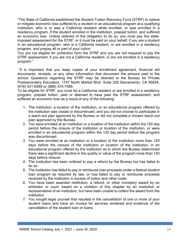"The State of California established the Student Tuition Recovery Fund (STRF) to relieve or mitigate economic loss suffered by a student in an educational program at a qualifying institution, who is or was a California resident while enrolled, or was enrolled in a residency program, if the student enrolled in the institution, prepaid tuition, and suffered an economic loss. Unless relieved of the obligation to do so, you must pay the stateimposed assessment for the STRF, or it must be paid on your behalf, if you are a student in an educational program, who is a California resident, or are enrolled in a residency program, and prepay all or part of your tuition.

You are not eligible for protection from the STRF and you are not required to pay the STRF assessment, if you are not a California resident, or are not enrolled in a residency program."

"It is important that you keep copies of your enrollment agreement, financial aid documents, receipts, or any other information that document the amount paid to the school. Questions regarding the STRF may be directed to the Bureau for Private Postsecondary Education, 1747 North Market Blvd. Suite 225 Sacramento, CA 95834, (916) 431-6959 or (888) 370-7589.

To be eligible for STRF, you must be a California resident or are enrolled in a residency program, prepaid tuition, paid or deemed to have paid the STRF assessment, and suffered an economic loss as a result of any of the following:

- 1. The institution, a location of the institution, or an educational program offered by the institution was closed or discontinued, and you did not choose to participate in a teach-out plan approved by the Bureau or did not complete a chosen teach-out plan approved by the Bureau.
- 2. You were enrolled at an institution or a location of the institution within the 120 day period before the closure of the institution or location of the institution, or were enrolled in an educational program within the 120 day period before the program was discontinued.
- 3. You were enrolled at an institution or a location of the institution more than 120 days before the closure of the institution or location of the institution, in an educational program offered by the institution as to which the Bureau determined there was a significant decline in the quality or value of the program more than 120 days before closure.
- 4. The institution has been ordered to pay a refund by the Bureau but has failed to do so.
- 5. The institution has failed to pay or reimburse loan proceeds under a federal student loan program as required by law, or has failed to pay or reimburse proceeds received by the institution in excess of tuition and other costs.
- 6. You have been awarded restitution, a refund, or other monetary award by an arbitrator or court, based on a violation of this chapter by an institution or representative of an institution, but have been unable to collect the award from the institution.
- 7. You sought legal counsel that resulted in the cancellation of one or more of your student loans and have an invoice for services rendered and evidence of the cancellation of the student loan or loans.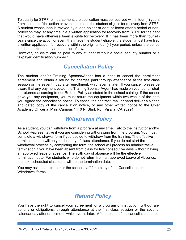<span id="page-28-0"></span>To qualify for STRF reimbursement, the application must be received within four (4) years from the date of the action or event that made the student eligible for recovery from STRF. A student whose loan is revived by a loan holder or debt collector after a period of noncollection may, at any time, file a written application for recovery from STRF for the debt that would have otherwise been eligible for recovery. If it has been more than four (4) years since the action or event that made the student eligible, the student must have filed a written application for recovery within the original four (4) year period, unless the period has been extended by another act of law.

However, no claim can be paid to any student without a social security number or a taxpayer identification number."

### *Cancellation Policy*

The student and/or Training Sponsor/Agent has a right to cancel the enrollment agreement and obtain a refund for charges paid through attendance at the first class session or the seventh day after enrollment, whichever is later. If you cancel, please be aware that any payment you/or the Training Sponsor/Agent has made on your behalf shall be returned according to our Refund Policy as stated in the school catalog. If the school gave you any equipment, you must return the equipment within two weeks of the date you signed the cancellation notice. To cancel the contract, mail or hand deliver a signed and dated copy of the cancellation notice, or any other written notice to the Chief Academic Officer at Main Campus 1440 N. Shirk Rd., Visalia, CA 93291.

### *Withdrawal Policy*

As a student, you can withdraw from a program at any time. Talk to the instructor and/or School Representative if you are considering withdrawing from the program. You must complete a withdrawal form if you decide to withdraw from the training. The effective termination date will be your last day of class attendance. If you do not start the withdrawal process by completing the form, the school will process an administrative termination if you have been absent from class for five consecutive days without having an approved leave of absence. The sixth day of absence will be the effective termination date. For students who do not return from an approved Leave of Absence, the next scheduled class date will be the termination date.

You may ask the instructor or the school staff for a copy of the Cancellation or Withdrawal forms.

# *Refund Policy*

You have the right to cancel your agreement for a program of instruction, without any penalty or obligations, through attendance at the first class session or the seventh calendar day after enrollment, whichever is later. After the end of the cancellation period,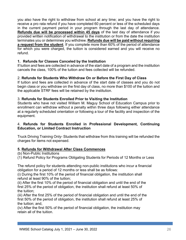you also have the right to withdraw from school at any time; and you have the right to receive a pro rata refund if you have completed 60 percent or less of the scheduled days in the current payment period in your program through the last day of attendance. **Refunds due will be processed within 45 days** of the last day of attendance if you provided written notification of withdrawal to the institution or from the date the institution terminates you or determines you withdrew. **Refunds due will be paid without requiring a request from the student**. If you complete more than 60% of the period of attendance for which you were charged, the tuition is considered earned and you will receive no refund.

### **1. Refunds for Classes Canceled by the Institution**

If tuition and fees are collected in advance of the start date of a program and the institution cancels the class, 100% of the tuition and fees collected will be refunded.

### 2. **Refunds for Students Who Withdraw On or Before the First Day of Class**

If tuition and fees are collected in advance of the start date of classes and you do not begin class or you withdraw on the first day of class, no more than \$100 of the tuition and the applicable STRF fees will be retained by the institution.

### 3. **Refunds for Students Enrolled Prior to Visiting the Institution**

Students who have not visited William M. Maguy School of Education Campus prior to enrollment can withdraw without a penalty within three days following either attendance at a regularly scheduled orientation or following a tour of the facility and inspection of the equipment.

### 4. **Refunds for Students Enrolled in Professional Development, Continuing Education, or Limited Contract Instruction**

Truck Driving Training Only- Students that withdraw from this training will be refunded the charges for items not expensed.

### **5. Refunds for Withdrawal After Class Commences**

(b) Non-Public Institutions

(1) Refund Policy for Programs Obligating Students for Periods of 12 Months or Less

The refund policy for students attending non-public institutions who incur a financial obligation for a period of 12 months or less shall be as follows:

(i) During the first 10% of the period of financial obligation, the institution shall refund at least 90% of the tuition;

(ii) After the first 10% of the period of financial obligation and until the end of the first 25% of the period of obligation, the institution shall refund at least 50% of the tuition;

(iii) After the first 25% of the period of financial obligation and until the end of the first 50% of the period of obligation, the institution shall refund at least 25% of the tuition; and,

(iv) After the first 50% of the period of financial obligation, the institution may retain all of the tuition.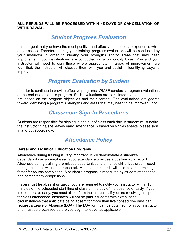#### **ALL REFUNDS WILL BE PROCESSED WITHIN 45 DAYS OF CANCELLATION OR WITHDRAWAL.**

### *Student Progress Evaluation*

<span id="page-30-0"></span>It is our goal that you have the most positive and effective educational experience while at our school. Therefore, during your training, progress evaluations will be conducted by your instructor in order to identify your strengths and/or areas that may need improvement. Such evaluations are conducted on a bi-monthly basis. You and your instructor will need to sign these where appropriate. If areas of improvement are identified, the instructor will discuss them with you and assist in identifying ways to improve.

### *Program Evaluation by Student*

<span id="page-30-1"></span>In order to continue to provide effective programs, WMSE conducts program evaluations at the end of a student's program. Such evaluations are completed by the students and are based on the program objectives and their content. The evaluations are geared toward identifying a program's strengths and areas that may need to be improved upon.

### *Classroom Sign-In Procedures*

Students are responsible for signing in and out of class each day. A student must notify the instructor if he/she leaves early. Attendance is based on sign-In sheets; please sign in and out accordingly.

### *Attendance Policy*

#### <span id="page-30-2"></span>**Career and Technical Education Programs**

Attendance during training is very important. It will demonstrate a student's dependability as an employee. Good attendance provides a positive work record. Absences during training are missed opportunities to enhance skills. Lectures missed during absences will not be repeated. Attendance records will also be a determining factor for course completion. A student's progress is measured by student attendance and competency completions.

**If you must be absent or tardy,** you are required to notify your instructor within 15 minutes of the scheduled start time of class on the day of the absence or tardy. If you intend to leave early, you must also inform the instructor. If you are receiving a stipend for class attendance, absences will not be paid. Students with extenuating circumstances that anticipate being absent for more than five consecutive days can request a Leave of Absence (LOA). The LOA form can be obtained from your instructor and must be processed before you begin to leave, as applicable.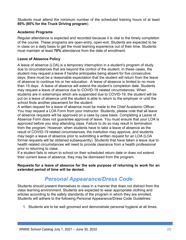Students must attend the minimum number of the scheduled training hours of at least **80% (85% for the Truck Driving program**).

### **Academic Programs**

Regular attendance is expected and recorded because it is vital to the timely completion of the course. These programs are open-entry, open-exit. Students are expected to be in class on a daily basis to get the most learning experience out of their time. Students must maintain at least **70%** attendance from the date of enrollment.

### <span id="page-31-0"></span>**Leave of Absence Policy**

A leave of absence (LOA) is a temporary interruption in a student's program of study due to circumstances that are beyond the control of the student. In these cases, the student may request a leave if he/she anticipates being absent for five consecutive days; there must be a reasonable expectation that the student will return from the leave of absence to continue his or her education. A leave of absence is limited to no more than 15 days. A leave of absence will extend the student's completion date. Students may request a leave of absence due to COVID-19 related circumstances. When students are in externships which are suspended due to COVID-19, the student will be put on a leave of absence until the student is able to return to the employer or until the school finds another placement for the student.

A written request for a leave of absence must be made to the Chief Academic Officer. You may request a LOA Form from your instructor. Students, please note that all leave of absence requests will be approved on a case by case basis. Completing a Leave of Absence Form does not guarantee approval of leave. You must ensure that your LOA is approved before you stop attending class. Failure to do so may result in termination from the program. However, when students have to take a leave of absence as the result of COVID-19 related circumstances, the institution may approve, and students may begin a leave of absence prior to submitting a written request for an LOA (LOA formal requests will be obtained subsequently). Students that have taken a leave due to health related circumstances will need to provide clearance from a health professional prior to returning to class.

If a student fails to return to school on their scheduled return date or does not extend their current leave of absence, they may be dismissed from the program.

**Requests for a leave of absence for the sole purpose of returning to work for an extended period of time will be denied.**

### *Personal Appearance/Dress Code*

<span id="page-31-1"></span>Students should present themselves to class in a manner that does not distract from the class learning environment. Students are expected to wear appropriate clothing and articles according to the safety standards of the program in which they are enrolled. Students will adhere to the following Personal Appearance/Dress Code Guidelines:

1. Students are to be well groomed and demonstrate personal hygiene at all times.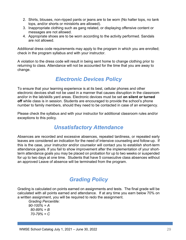- 2. Shirts, blouses, non-ripped pants or jeans are to be worn (No halter tops, no tank tops, and/or shorts or miniskirts are allowed).
- 3. Inappropriate clothing such as gang related, or displaying offensive content or messages are not allowed.
- 4. Appropriate shoes are to be worn according to the activity performed. Sandals are not allowed.

Additional dress code requirements may apply to the program in which you are enrolled; check in the program syllabus and with your instructor.

A violation to the dress code will result in being sent home to change clothing prior to returning to class. Attendance will not be accounted for the time that you are away to change.

### *Electronic Devices Policy*

<span id="page-32-0"></span>To ensure that your learning experience is at its best, cellular phones and other electronic devices shall not be used in a manner that causes disruption in the classroom and/or in the lab/skills yard areas. Electronic devices must be set **on silent or turned off** while class is in session. Students are encouraged to provide the school's phone number to family members, should they need to be contacted in case of an emergency.

Please check the syllabus and with your instructor for additional classroom rules and/or exceptions to this policy.

### *Unsatisfactory Attendance*

<span id="page-32-1"></span>Absences are recorded and excessive absences, repeated tardiness, or repeated early leaves are considered an indication for the need of intensive counseling and follow-up. If this is the case, your instructor and/or counselor will contact you to establish short-term attendance goals. If you fail to show improvement after the implementation of your shortterm attendance goals you may be placed on probation for up to two weeks or suspended for up to two days at one time. Students that have 5 consecutive class absences without an approved Leave of absence will be terminated from the program.

### *Grading Policy*

<span id="page-32-2"></span>Grading is calculated on points earned on assignments and tests. The final grade will be calculated with all points earned and attendance. If at any time you earn below 70% on a written assignment, you will be required to redo the assignment.

*Grading Percentile: 90-100% = A 80-89% = B 70-79% = C*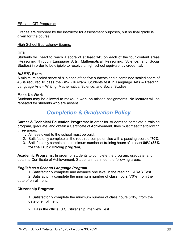### ESL and CIT Programs:

Grades are recorded by the instructor for assessment purposes, but no final grade is given for the course.

High School Equivalency Exams:

### **GED**

Students will need to reach a score of at least 145 on each of the four content areas (Reasoning through Language Arts, Mathematical Reasoning, Science, and Social Studies) in order to be eligible to receive a high school equivalency credential.

### *HiSET***® Exam**

A minimum scaled score of 8 in each of the five subtests and a combined scaled score of 45 is required to pass the *HiSET*® exam. Students test in Language Arts – Reading, Language Arts – Writing, Mathematics, Science, and Social Studies.

### **Make-Up Work**

Students may be allowed to make-up work on missed assignments. No lectures will be repeated for students who are absent.

### *Completion & Graduation Policy*

**Career & Technical Education Programs:** In order for students to complete a training program, graduate, and obtain a Certificate of Achievement, they must meet the following three areas:

- 1. All fees owed to the school must be paid.
- 2. Satisfactorily complete all the required competencies with a passing score of **70%.**
- 3. Satisfactorily complete the minimum number of training hours of at least **80% (85% for the Truck Driving program**).

**Academic Programs:** In order for students to complete the program, graduate, and obtain a Certificate of Achievement, Students must meet the following areas:

#### *English as a Second Language Program:*

1. Satisfactorily complete and advance one level in the reading CASAS Test.

2. Satisfactorily complete the minimum number of class hours (70%) from the date of enrollment.

### **Citizenship Program**:

1. Satisfactorily complete the minimum number of class hours (70%) from the date of enrollment.

2. Pass the official U.S Citizenship Interview Test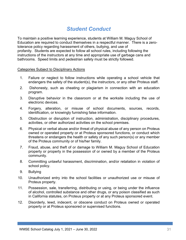### <span id="page-34-0"></span>*Student Conduct*

To maintain a positive learning experience, students at William M. Maguy School of Education are required to conduct themselves in a respectful manner. There is a zerotolerance policy regarding harassment of others, bullying, and use of profanity. Students are expected to follow all school rules, including following the instructions of the instructors at any time and appropriate use of garbage cans and bathrooms. Speed limits and pedestrian safety must be strictly followed.

#### Categories Subject to Disciplinary Actions

- 1. Failure or neglect to follow instructions while operating a school vehicle that endangers the safety of the student(s), the instructors, or any other Proteus staff.
- 2. Dishonesty, such as cheating or plagiarism in connection with an education program.
- 3. Disruptive behavior in the classroom or at the worksite including the use of electronic devices.
- 4. Forgery, alteration, or misuse of school documents, sources, records, identification, or knowingly furnishing false information.
- 5. Obstruction or disruption of instruction, administration, disciplinary procedures, activities, or other authorized activities on the school premises.
- 6. Physical or verbal abuse and/or threat of physical abuse of any person on Proteus owned or operated property or at Proteus sponsored functions, or conduct which threatens or endangers the health or safety of any such person(s) or any member of the Proteus community or of his/her family.
- 7. Fraud, abuse, and theft of or damage to William M. Maguy School of Education property or property in the possession of or owned by a member of the Proteus community.
- 8. Committing unlawful harassment, discrimination, and/or retaliation in violation of school policy.
- 9. Bullying
- 10. Unauthorized entry into the school facilities or unauthorized use or misuse of Proteus property.
- 11. Possession, sale, transferring, distributing or using, or being under the influence of alcohol, controlled substance and other drugs, or any poison classified as such in California statutes, on Proteus property or at any Proteus sponsored event.
- 12. Disorderly, lewd, indecent, or obscene conduct on Proteus owned or operated property or at Proteus sponsored or supervised functions.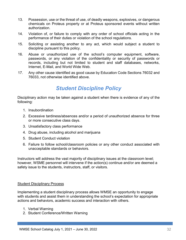- 13. Possession, use or the threat of use, of deadly weapons, explosives, or dangerous chemicals on Proteus property or at Proteus sponsored events without written authorization.
- 14. Violation of, or failure to comply with any order of school officials acting in the performance of their duties or violation of the school regulations.
- 15. Soliciting or assisting another to any act, which would subject a student to discipline pursuant to this policy.
- 16. Abuse or unauthorized use of the school's computer equipment, software, passwords, or any violation of the confidentiality or security of passwords or records, including but not limited to student and staff databases, networks, Internet, E-Mail, and World Wide Web.
- 17. Any other cause identified as good cause by Education Code Sections 76032 and 76033, not otherwise identified above.

### *Student Discipline Policy*

<span id="page-35-0"></span>Disciplinary action may be taken against a student when there is evidence of any of the following:

- 1. Insubordination
- 2. Excessive tardiness/absences and/or a period of unauthorized absence for three or more consecutive class days.
- 3. Unsatisfactory class performance
- 4. Drug abuse, including alcohol and marijuana
- 5. Student Conduct violation
- 6. Failure to follow school/classroom policies or any other conduct associated with unacceptable standards or behaviors.

Instructors will address the vast majority of disciplinary issues at the classroom level; however, WSME personnel will intervene if the action(s) continue and/or are deemed a safety issue to the students, instructors, staff, or visitors.

#### Student Disciplinary Process

Implementing a student disciplinary process allows WMSE an opportunity to engage with students and assist them in understanding the school's expectation for appropriate actions and behaviors, academic success and interaction with others.

- 1. Verbal Warning
- 2. Student Conference/Written Warning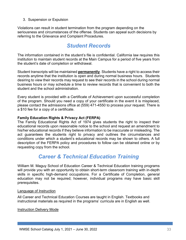### 3. Suspension or Expulsion

Violations can result in student termination from the program depending on the seriousness and circumstances of the offense. Students can appeal such decisions by referring to the Grievance and Complaint Procedures.

### *Student Records*

<span id="page-36-0"></span>The information contained in the student's file is confidential. California law requires this institution to maintain student records at the Main Campus for a period of five years from the student's date of completion or withdrawal.

Student transcripts will be maintained **permanently**. Students have a right to access their records anytime that the institution is open and during normal business hours. Students desiring to view their records may request to see their records in the school during normal business hours or may schedule a time to review records that is convenient to both the student and the school administration.

Every student is provided with a Certificate of Achievement upon successful completion of the program. Should you need a copy of your certificate in the event it is misplaced, please contact the admissions office at (559) 471-4550 to process your request. There is a \$10 fee for a copy of a certificate.

#### <span id="page-36-1"></span>**Family Education Rights & Privacy Act (FERPA)**

The Family Educational Rights Act of 1974 gives students the right to inspect their educational records upon reasonable notice to the school and request an amendment to his/her educational records if they believe information to be inaccurate or misleading. The act guarantees the students right to privacy and outlines the circumstances and conditions under which a student's educational records may be shown to others. A full description of the FERPA policy and procedures to follow can be obtained online or by requesting copy from the school.

### *Career & Technical Education Training*

<span id="page-36-2"></span>William M. Maguy School of Education Career & Technical Education training programs will provide you with an opportunity to obtain short-term classroom training with in-depth skills in specific high-demand occupations. For a Certificate of Completion, general education may not be required; however, individual programs may have basic skill prerequisites.

#### Language of Instruction

All Career and Technical Education Courses are taught in English. Textbooks and instructional materials as required in the programs' curricula are in English as well.

#### Instruction Delivery Mode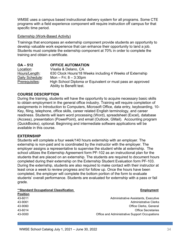WMSE uses a campus based instructional delivery system for all programs. Some CTE programs with a field experience component will require instruction off campus for that specific time period.

#### Externship (Work-Based Activity)

Trainings that encompass an externship component provide students an opportunity to develop valuable work experience that can enhance their opportunity to land a job. Students must complete the externship component at 70% in order to complete the training and obtain a certificate.

<span id="page-37-0"></span>

| $OA - 512$      | <b>OFFICE AUTOMATION</b>                                   |
|-----------------|------------------------------------------------------------|
| Location:       | Visalia & Delano, CA                                       |
| Hours/Length:   | 630 Clock Hours/18 Weeks including 4 Weeks of Externship   |
| Daily Schedule: | Mon $-$ Fri; $8 - 3:30$ pm                                 |
| Prerequisites:  | High School Diploma or Equivalent or must pass an approved |
|                 | Ability to Benefit test.                                   |

### **COURSE DESCRIPTION**

During the training, students will have the opportunity to acquire necessary basic skills to obtain employment in the general office industry. Training will require completion of assignments in Introduction to Computers, Microsoft Office, data entry, keyboarding, 10- Key, filing, telephone, office skills, career related English terminology, and career readiness. Students will learn word processing (Word), spreadsheet (Excel), database (Access), presentation (PowerPoint), and email (Outlook, GMail). Accounting program (QuickBooks), optional. Beginning and intermediate software applications will be available in this course.

#### **EXTERNSHIP**

Students will complete a four week/140 hours externship with an employer. The externship is non-paid and is coordinated by the instructor with the employer. The employer assigns a representative to supervise the student while at externship. The school utilizes the Externship Agreement form PF-102 as an instructional plan for the students that are placed on an externship. The students are required to document hours completed during their externship on the Externship Student Evaluation form PF-103. During the externship, students are also required to make contact with their instructor at least once a week to review progress and for follow up. Once the hours have been completed, the employer will complete the bottom portion of the form to evaluate students' overall performance. Students are evaluated for externship with a pass or fail grade.

#### **\*\*Standard Occupational Classification Employment**

| <b>Position</b> |                                               |
|-----------------|-----------------------------------------------|
| 43-6011         | Administrative Assistants, Executive          |
| 43-9061         | Administrative Clerks                         |
| 43-9060         | Office Clerks, General                        |
| 43-6014         | <b>Office Secretaries</b>                     |
| 43-0000         | Office and Administrative Support Occupations |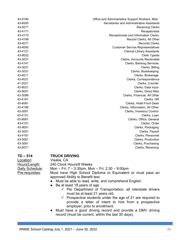| Office and Administrative Support Workers, Misc. | 43-9190 |
|--------------------------------------------------|---------|
| Secretaries and Administrative Assistants        | 43-6000 |
| <b>Receiving Clerks</b>                          | 43-5071 |
| Receptionists                                    | 43-4171 |
| Receptionists and Information Clerks             | 43-4170 |
| Record Clerks, All Other                         | 43-4199 |
| <b>Records Clerks</b>                            | 43-4071 |
| <b>Customer Service Representatives</b>          | 43-4050 |
| <b>Clerical Library Assistants</b>               | 43-4121 |
| <b>Clerk Typists</b>                             | 43-9022 |
| Clerks, Accounts Receivable                      | 43-3031 |
| Clerks, Banking Services                         | 43-4141 |
| Clerks, Billing                                  | 43-3021 |
| Clerks, Bookkeeping                              | 43-3031 |
| Clerks, Brokerage                                | 43-4011 |
| Clerks, Correspondence                           | 43-4021 |
| Clerks, Counter                                  | 41-2021 |
| Clerks, Data Input                               | 43-9021 |
| Clerks, Direct Mail                              | 43-9051 |
| Clerks, Financial, All Other                     | 43-3099 |
| Clerks, HR                                       | 43-4161 |
| Clerks, Hotel Front Desk                         | 43-4081 |
| Clerks, Information, All Other                   | 43-4199 |
| Clerks, Inventory Control                        | 43-5081 |
| Clerks, Loan                                     | 43-4131 |
| Clerks, Office, General                          | 43-9061 |
| Clerks, Order                                    | 43-4151 |
| Clerks, Packaging                                | 43-9051 |
| Clerks, Payroll                                  | 43-3051 |
| Clerks, Personnel                                | 43-4161 |
| Clerks, Production                               | 43-5061 |
| Clerks, Purchasing                               | 43-3061 |
| Clerks, Receiving                                | 43-5071 |

# <span id="page-38-0"></span>**TD – 514 TRUCK DRIVING**

Visalia, CA Hours/Length: 240 Clock Hours/6 Weeks Daily Schedule: Mon – Fri; 7 – 3:30pm, Mon – Fri; 2:30 – 9:00pm Pre-requisites: Must have High School Diploma or Equivalent or must pass an approved Ability to Benefit test.

- Must be able to read, write, and comprehend English.
- Be at least 18 years of age.
	- $\checkmark$  Per Department of Transportation, all interstate drivers must be at least 21 years old.
	- $\checkmark$  Prospective students under the age of 21 are required to provide a letter of intent to hire from a prospective employer, prior to enrollment.
- Must have a good driving record and provide a DMV driving record (must be current, within the last 30 days).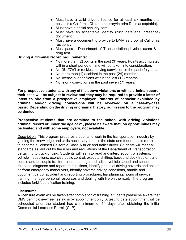- Must have a valid driver's license for at least six months and possess a California DL (a temporary/interim DL is acceptable).
- Must have a social security card
- Must have an acceptable identity (birth date/legal presence) document.
- Must have a document to provide to DMV as proof of California residency.
- Must pass a Department of Transportation physical exam & a drug test.

### **Driving & Criminal record requirements:**

- No more than (2) points in the past (3) years. Points accumulated within a short period of time will be taken into consideration.
- No DUI/DWI or reckless driving conviction in the past (5) years.
- No more than (1) accident in the past (24) months.
- No license suspensions within the last (12) months.
- No felony convictions in the past seven (7) years.

**For prospective students with any of the above violations or with a criminal record, their case will be subject to review and they may be required to provide a letter of intent to hire from a prospective employer. Patterns of behavior exhibited by criminal and/or driving convictions will be reviewed on a case-by-case basis. Depending on the driving or criminal history, admission to the program may be denied.**

#### **Prospective students that are admitted to the school with driving violations criminal record or under the age of 21, please be aware that job opportunities may be limited and with some employers, not available.**

Description: This program prepares students to work in the transportation industry by gaining the knowledge and skills necessary to pass the state and federal tests required to become a licensed California Class A truck and trailer driver. Students will meet all standards as laid out by the rules and regulations of the Department of Transportation pertaining to truck driving. Students will learn to read and interpret control systems, vehicle inspections, exercise basic control, execute shifting, back and dock tractor trailer, couple and uncouple tractor trailers, manage and adjust vehicle speed and space relations, diagnose and report malfunctions, identify potential driving hazards and able to perform emergency maneuvers, identify adverse driving conditions, handle and document cargo, accident and reporting procedures, trip planning, hours of service training, manage personal resources and dealing with life on the road. The program includes forklift certification training.

#### **Licensure:**

A licensure exam will be taken after completion of training. Students please be aware that DMV behind-the-wheel testing is by appointment only. A testing date appointment will be scheduled after the student has a minimum of 14 days after obtaining the initial Commercial Learner's Permit (CLP).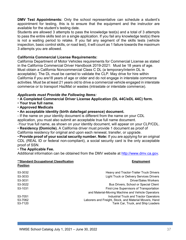**DMV Test Appointments:** Only the school representative can schedule a student's appointment for testing, this is to ensure that the equipment and the instructor are available for the student's testing date.

Students are allowed 3 attempts to pass the knowledge test(s) and a total of 3 attempts to pass the entire skills test on a single application. If you fail any knowledge test(s) there is not a waiting period to retake. If you fail any segment of the skills tests (vehicle inspection, basic control skills, or road test), it will count as 1 failure towards the maximum 3 attempts you are allowed.

#### **California Commercial License Requirements:**

California Department of Motor Vehicles requirements for Commercial License as stated in the California Commercial Driver Handbook 2019-2021: Must be 18 years of age. Must obtain a California Noncommercial Class C DL (a temporary/interim DL is acceptable). The DL must be carried to validate the CLP. May drive for hire within California if you are18 years of age or older and do not engage in interstate commerce activities. Must be at least 21 years old to drive a commercial vehicle engaged in interstate commerce or to transport HazMat or wastes (intrastate or interstate commerce).

### *Applicants must Provide the Following Items:*

• **A Completed Commercial Driver License Application (DL 44C/eDL 44C) form.** 

- **Your true full name**.
- **Approved Medicals**

### • **An acceptable identity (birth date/legal presence) document.**

- If the name on your identity document is different from the name on your CDL application, you must also submit an acceptable true full name document.

-Your true full name, as shown on your identity document, will appear on your CLP/CDL.

• **Residency (Domicile).** A California driver must provide 1 document as proof of California residency for original and upon each renewal, transfer, or upgrade.

• **Provide proof of your social security number. Note:** If you are applying for an original CDL (REAL ID or federal non-compliant), a social security card is the only acceptable proof of SSN.

### • **The Applicable Fee.**

Additional information can be obtained from the DMV website at [http://www.dmv.ca.gov.](http://www.dmv.ca.gov/)

#### **\*\*Standard Occupational Classification Accupation Employment Construction Construction Construction**

**Position**

| 53-3032 | Heavy and Tractor-Trailer Truck Drivers                |
|---------|--------------------------------------------------------|
| 53-3033 | <b>Light Truck or Delivery Services Drivers</b>        |
| 53-3031 | Driver/Sales Workers                                   |
| 53-3022 | <b>Bus Drivers, School or Special Client</b>           |
| 53-1031 | First-Line Supervisors of Transportation               |
|         | and Material-Moving Machine and Vehicle Operators      |
| 53-7051 | Industrial Truck and Tractor Operators                 |
| 53-7062 | Laborers and Freight, Stock, and Material Movers, Hand |
| 53-7120 | Tank Car, Truck, and Ship Loaders                      |
|         |                                                        |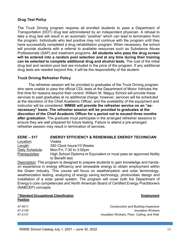### <span id="page-41-0"></span>*Drug Test Policy*

The Truck Driving program requires all enrolled students to pass a Department of Transportation (DOT) drug test administered by an independent physician. A refusal to take a drug test will result in an automatic "positive" which can lead to termination from the program. Individuals who test positive may not continue with the program until they have successfully completed a drug rehabilitation program. When necessary, the school will provide students with a referral to available resources such as Substance Abuse Professionals (SAP) and treatment programs. **All students who pass the drug screen will be entered into a random pool selection and at any time during their training can be selected to complete additional drug and alcohol tests.** The cost of the initial drug test and random pool test are included in the price of the program. If any additional drug tests are needed beyond this, it will be the responsibility of the student.

#### **Truck Driving Refresher Policy**

The refresher session will be provided to graduates of the Truck Driving program who were unable to pass the official CDL tests at the Department of Motor Vehicles the first time for reasons beyond their control. William M. Maguy School will provide these services to past graduates at no additional charge; however, services will be scheduled at the discretion of the Chief Academic Officer, and the availability of the equipment and instructor will be considered. **WMSE will provide the refresher service on an "asnecessary" basis. The refresher session will be provided to graduates at the discretion of the Chief Academic Officer for a period not to exceed three months after graduation.** The graduate must participate in the arranged refresher sessions to ensure they are well prepared for future testing. Failure to attend a pre-arranged refresher session may result in termination of services.

<span id="page-41-1"></span>

| $EERE - 517$    | <b>ENERGY EFFICIENCY &amp; RENEWABLE ENERGY TECHNICIAN</b>                             |
|-----------------|----------------------------------------------------------------------------------------|
| Location:       | Visalia                                                                                |
| Length:         | 350 Clock hours/10 Weeks                                                               |
| Daily Schedule: | Mon-Fri; 7:30 to 3:00pm                                                                |
| Prerequisites:  | High School Diploma or Equivalent or must pass an approved Ability<br>to Benefit test. |

Description: The program is designed to prepare students to gain knowledge and handson experience in energy efficiency and renewable energy to obtain employment within the Green industry. This course will focus on weatherization and solar terminology, weatherization testing, analyzing of energy saving technology, photovoltaic design and installation of a solar panel system. The program will cover both the Department of Energy's core competencies and North American Board of Certified Energy Practitioners (NABCEP) concepts.

#### **\*\*Standard Occupational Classification Employment Position**

| 47-4011 | Construction and Building Inspectors         |
|---------|----------------------------------------------|
| 47-2130 | <b>Insulation Workers</b>                    |
| 47-2131 | Insulation Workers, Floor, Ceiling, and Wall |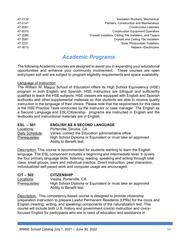| 47-2132 | Insulation Workers, Mechanical                          |
|---------|---------------------------------------------------------|
| 47-2141 | Painters, Construction and Maintenance                  |
| 47-2061 | <b>Construction Laborers</b>                            |
| 47-2070 | <b>Construction Equipment Operators</b>                 |
| 47-2080 | Drywall Installers, Ceiling Tile Installers, and Tapers |
| 47-2081 | Drywall and Ceiling Tile Installers                     |
| 47-2231 | Solar Photovoltaic Installers                           |
| 47-3013 | Helpers--Electricians                                   |
|         |                                                         |

### *Academic Programs*

<span id="page-42-0"></span>The following Academic courses are designed to assist you in expanding your educational opportunities and enhance your community involvement. These courses are open entry/open exit and are subject to program eligibility requirements and space availability.

#### Language of Instruction

The William M. Maguy School of Education offers its High School Equivalency (HSE) program in both English and Spanish. HSE Instructors are bilingual and sufficiently qualified to teach the HSE subjects. HSE classes are equipped with English and Spanish textbooks and other supplemental materials so that students are able to receive quality instruction in the language of their choice. Please note that the requirement for this class is the HSE Practice Tests conducted by the instructor or case manager. The English as a Second Language and ESL/Citizenship programs are instructed in English and the textbooks and instructional materials are in English.

<span id="page-42-1"></span>

| $ESL - 501$     | <b>ENGLISH AS A SECOND LANGUAGE</b>                        |
|-----------------|------------------------------------------------------------|
| Locations:      | Porterville, Dinuba, CA                                    |
| Daily Schedule: | Varies, contact the Education administrative office        |
| Prerequisites:  | High School Diploma or Equivalent or must take an approved |
|                 | Ability to Benefit test.                                   |

Description: This course is recommended for students wanting to learn the English language. The ESL component includes a beginning and intermediate level. It covers the four primary language skills: listening, reading, speaking and writing through total class, small groups, pairs and individual practice. Direct instruction, peer interaction, individualized self-paced work and computer usage are encouraged.

**CIT – 502 CITIZENSHIP** Locations: Visalia, Porterville, CA Prerequisites: High School Diploma or Equivalent or must take an approved Ability to Benefit test.

Description: This competency-based course is designed to provide citizenship preparation instruction to prepare Lawful Permanent Residents (LPRs) for the civics and English (reading, writing, and speaking) components of the naturalization test. This course will include both U.S. history and government (civics) instruction and civics– focused English for participants who are in need of education and assistance in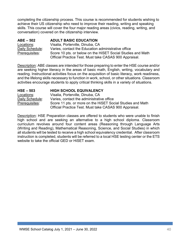completing the citizenship process. This course is recommended for students wishing to achieve their US citizenship who need to improve their reading, writing and speaking skills. This course will cover the four major reading areas (civics, reading, writing, and conversation) covered on the citizenship interview.

<span id="page-43-0"></span>

| $ABE - 502$     | <b>ADULT BASIC EDUCATION</b>                                |
|-----------------|-------------------------------------------------------------|
| Locations:      | Visalia, Porterville, Dinuba, CA                            |
| Daily Schedule: | Varies, contact the Education administrative office         |
| Prerequisites:  | Score 10 pts. or below on the HiSET Social Studies and Math |
|                 | Official Practice Test. Must take CASAS 900 Appraisal.      |

Description: ABE classes are intended for those preparing to enter the HSE course and/or are seeking higher literacy in the areas of basic math, English, writing, vocabulary and reading. Instructional activities focus on the acquisition of basic literacy, work readiness, and the lifelong skills necessary to function in work, school, or other situations. Classroom activities encourage students to apply critical thinking skills in a variety of situations.

<span id="page-43-1"></span>

| $HSE - 503$     | <b>HIGH SCHOOL EQUIVALENCY</b>                             |
|-----------------|------------------------------------------------------------|
| Locations:      | Visalia, Porterville, Dinuba, CA                           |
| Daily Schedule: | Varies, contact the administrative office                  |
| Prerequisites:  | Score 11 pts. or more on the HISET Social Studies and Math |
|                 | Official Practice Test. Must take CASAS 900 Appraisal.     |

Description: HSE Preparation classes are offered to students who were unable to finish high school and are seeking an alternative to a high school diploma. Classroom curriculum revolves around four content areas (Reasoning through Language Arts (Writing and Reading), Mathematical Reasoning, Science, and Social Studies) in which all students will be tested to receive a high school equivalency credential. After classroom instruction is completed, students will be referred to a local HSE testing center or the ETS website to take the official GED or HiSET exam.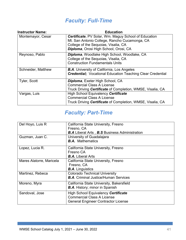# *Faculty: Full-Time*

<span id="page-44-0"></span>

| <b>Instructor Name:</b> | <b>Education</b>                                                                                                                                                                              |
|-------------------------|-----------------------------------------------------------------------------------------------------------------------------------------------------------------------------------------------|
| Montemayor, Cesar       | <b>Certificate, PV Solar, Wm. Maguy School of Education</b><br>Mt. San Antonio College, Rancho Cucamonga, CA<br>College of the Sequoias, Visalia, CA<br>Diploma, Orosi High School, Orosi, CA |
| Reynoso, Pablo          | Diploma, Woodlake High School, Woodlake, CA<br>College of the Sequoias, Visalia, CA<br><b>Construction Fundamentals Units</b>                                                                 |
| Schneider, Matthew      | <b>B.A.</b> University of California, Los Angeles<br><b>Credential; Vocational Education Teaching Clear Credential</b>                                                                        |
| <b>Tyler, Scott</b>     | <b>Diploma, Exeter High School, CA</b><br><b>Commercial Class A License</b><br>Truck Driving Certificate of Completion, WMSE, Visalia, CA                                                     |
| Vargas, Luis            | High School Equivalency Certificate<br><b>Commercial Class A License</b><br>Truck Driving Certificate of Completion, WMSE, Visalia, CA                                                        |

### *Faculty: Part-Time*

<span id="page-44-1"></span>

| Del Hoyo, Luis R         | California State University, Fresno<br>Fresno, CA<br><b>B.A</b> Liberal Arts, <b>B.S</b> Business Administration       |  |  |
|--------------------------|------------------------------------------------------------------------------------------------------------------------|--|--|
| Guzman, Juan C.          | University of Guadalajara<br><b>B.A.</b> Mathematics                                                                   |  |  |
| Lopez, Lucia R.          | California State University, Fresno<br>Fresno CA<br><b>B.A.</b> Liberal Arts                                           |  |  |
| Mares Alatorre, Maricela | California State University, Fresno<br>Fresno, CA<br><b>B.A.</b> Linguistics                                           |  |  |
| Martinez, Rebeca         | <b>Colorado Technical University</b><br><b>B.A.</b> Criminal Justice/Human Services                                    |  |  |
| Moreno, Myra             | California State University, Bakersfield<br><b>B.A.</b> History; minor in Spanish                                      |  |  |
| Sandoval, Jose           | High School Equivalency Certificate<br><b>Commercial Class A License</b><br><b>General Engineer Contractor License</b> |  |  |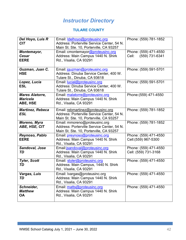### *Instructor Directory*

### **TULARE COUNTY**

<span id="page-45-0"></span>

| Del Hoyo, Luis R<br><b>CIT</b>                        | Email: <b>Idelhoyo@proteusinc.org</b><br>Address: Porterville Service Center, 54 N.<br>Main St. Ste. 10, Porterville, CA 93257 | Phone: (559) 781-1852                            |
|-------------------------------------------------------|--------------------------------------------------------------------------------------------------------------------------------|--------------------------------------------------|
| Montemayor,<br><b>Cesar</b><br><b>EERE</b>            | Email: cmontemayor@proteusinc.org<br>Address: Main Campus 1440 N. Shirk<br>Rd., Visalia, CA 93291                              | Phone: (559) 471-4550<br>(559) 731-6341<br>Cell: |
| Guzman, Juan C.<br><b>HSE</b>                         | Email: jguzman@proteusinc.org<br>Address: Dinuba Service Center, 400 W.<br>Tulare St., Dinuba, CA 93618                        | Phone: (559) 591-5701                            |
| Lopez, Lucia<br><b>ESL</b>                            | Email: lucial@proteusinc.org<br>Address: Dinuba Service Center, 400 W.<br>Tulare St., Dinuba, CA 93618                         | Phone: (559) 591-5701                            |
| <b>Mares Alatorre,</b><br><b>Maricela</b><br>ABE, HSE | Email: malatorre@proteusinc.org<br>Address: Main Campus 1440 N. Shirk<br>Rd., Visalia, CA 93291                                | Phone: (559) 471-4550                            |
| <b>Martinez, Rebeca</b><br><b>ESL</b>                 | Email: rebmartinez@proteusinc.org<br>Address: Porterville Service Center, 54 N.<br>Main St. Ste. 10, Porterville, CA 93257     | Phone: (559) 781-1852                            |
| Moreno, Myra<br>ABE, HSE, CIT                         | Email: mmoreno@proteusinc.org<br>Address: Porterville Service Center, 54 N.<br>Main St. Ste. 10, Porterville, CA 93257         | Phone: (559) 781-1852                            |
| Reynoso, Pablo<br><b>EERE</b>                         | Email: preynoso@proteusinc.org<br>Address: Main Campus 1440 N. Shirk<br>Rd., Visalia, CA 93291                                 | Phone: (559) 471-4550<br>Cell: (559) 967-5300    |
| Sandoval, Jose<br>TD                                  | Email: jsandoval@proteusinc.org<br>Address: Main Campus 1440 N. Shirk<br>Rd., Visalia, CA 93291                                | Phone: (559) 471-4550<br>Cell: (559) 731-3168    |
| <b>Tyler, Scott</b><br>TD                             | Email: styler@proteusinc.org<br>Address: Main Campus, 1440 N. Shirk<br>Rd., Visalia, CA 93291                                  | Phone: (559) 471-4550                            |
| Vargas, Luis<br>TD                                    | Email: Ivargas@proteusinc.org<br>Address: Main Campus 1440 N. Shirk<br>Rd., Visalia, CA 93291                                  | Phone: (559) 471-4550                            |
| Schneider,<br><b>Matthew</b><br><b>OA</b>             | Email: matts@proteusinc.org<br>Address: Main Campus 1440 N. Shirk<br>Rd., Visalia, CA 93291                                    | Phone: (559) 471-4550                            |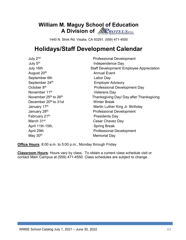### **William M. Maguy School of Education A Division of NRROTEUSING**

1440 N. Shirk Rd. Visalia, CA 93291. (559) 471-4550

# **Holidays/Staff Development Calendar**

| July 2nd                                      | <b>Professional Development</b>          |
|-----------------------------------------------|------------------------------------------|
| July 5 <sup>th</sup>                          | Independence Day                         |
| July 16th                                     | Staff Development/ Employee Appreciation |
| August 20 <sup>th</sup>                       | <b>Annual Event</b>                      |
| September 6th                                 | Labor Day                                |
| September 24th                                | <b>Employer Advisory</b>                 |
| October 8 <sup>th</sup>                       | <b>Professional Development Day</b>      |
| November 11 <sup>th</sup>                     | <b>Veterans Day</b>                      |
| November 25 <sup>th</sup> to 26 <sup>th</sup> | Thanksgiving Day/ Day after Thanksgiving |
| December 20 <sup>th</sup> to 31st             | <b>Winter Break</b>                      |
| January 17th                                  | Martin Luther King Jr. Birthday          |
| January 28th                                  | <b>Professional Development</b>          |
| February 21th                                 | <b>Presidents Day</b>                    |
| March 31 <sup>st</sup>                        | Cesar Chavez Day                         |
| April 11th-15th,                              | <b>Spring Break</b>                      |
| April 29th                                    | <b>Professional Development</b>          |
| May 30 <sup>th</sup>                          | <b>Memorial Day</b>                      |

**Office Hours**: 8:00 a.m. to 5:00 p.m., Monday through Friday

**Classroom Hours**: Hours vary by class. To obtain a current class schedule visit or contact Main Campus at (559) 471-4550. Class schedules are subject to change.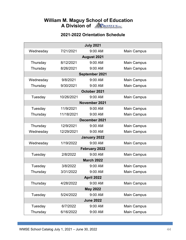### **William M. Maguy School of Education A Division of**

### **2021-2022 Orientation Schedule**

|                   | <b>July 2021</b> |                |                    |  |
|-------------------|------------------|----------------|--------------------|--|
| Wednesday         | 7/21/2021        | $9:00$ AM      | <b>Main Campus</b> |  |
|                   |                  | August 2021    |                    |  |
| Thursday          | 8/12/2021        | 9:00 AM        | <b>Main Campus</b> |  |
| Thursday          | 8/26/2021        | 9:00 AM        | Main Campus        |  |
|                   |                  | September 2021 |                    |  |
| Wednesday         | 9/8/2021         | 9:00 AM        | <b>Main Campus</b> |  |
| Thursday          | 9/30/2021        | 9:00 AM        | <b>Main Campus</b> |  |
|                   |                  | October 2021   |                    |  |
| Tuesday           | 10/26/2021       | 9:00 AM        | <b>Main Campus</b> |  |
|                   |                  | November 2021  |                    |  |
| Tuesday           | 11/9/2021        | 9:00 AM        | Main Campus        |  |
| Thursday          | 11/18/2021       | 9:00 AM        | <b>Main Campus</b> |  |
|                   |                  | December 2021  |                    |  |
| Thursday          | 12/9/2021        | 9:00 AM        | <b>Main Campus</b> |  |
| Wednesday         | 12/29/2021       | 9:00 AM        | <b>Main Campus</b> |  |
|                   |                  | January 2022   |                    |  |
| Wednesday         | 1/19/2022        | 9:00 AM        | <b>Main Campus</b> |  |
|                   |                  | February 2022  |                    |  |
| Tuesday           | 2/8/2022         | 9:00 AM        | <b>Main Campus</b> |  |
| <b>March 2022</b> |                  |                |                    |  |
| Tuesday           | 3/8/2022         | 9:00 AM        | <b>Main Campus</b> |  |
| Thursday          | 3/31/2022        | 9:00 AM        | <b>Main Campus</b> |  |
| April 2022        |                  |                |                    |  |
| Thursday          | 4/28/2022        | 9:00 AM        | <b>Main Campus</b> |  |
| <b>May 2022</b>   |                  |                |                    |  |
| Tuesday           | 5/24/2022        | 9:00 AM        | <b>Main Campus</b> |  |
| <b>June 2022</b>  |                  |                |                    |  |
| Tuesday           | 6/7/2022         | 9:00 AM        | <b>Main Campus</b> |  |
| Thursday          | 6/16/2022        | 9:00 AM        | <b>Main Campus</b> |  |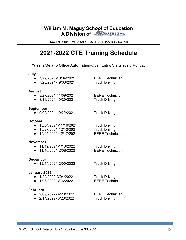### **William M. Maguy School of Education A Division of NRROTEUSING**

1440 N. Shirk Rd. Visalia, CA 93291. (559) 471-4550

## **2021-2022 CTE Training Schedule**

#### **\*Visalia/Delano Office Automation-**Open Entry, Starts every Monday

#### **July**

- 7/22/2021-10/04/2021 EERE Technician
- 7/23/2021- 9/03/2021 Truck Driving

#### **August**

- 8/27/2021-11/09/2021 EERE Technician
- 8/16/2021- 9/29/2021 Truck Driving

#### **September**

● 9/09/2021-10/22/2021 Truck Driving

#### **October**

- 10/04/2021-11/16/2021 Truck Driving
- 
- $\bullet$  10/05/2021-12/17/2021

#### **November**

- 11/19/2021-1/18/2022 Truck Driving
- 11/10/2021-2/08/2022 EERE Technician

#### **December**

● 12/14/2021-2/09/2022 Truck Driving

### **January 2022**

- 
- $\bullet$  1/03/2022-3/16/2022

#### **February**

- 2/09/2022- 4/28/2022 EERE Technician
- 2/14/2022- 3/28/2022 Truck Driving

● 10/27/2021-12/10/2021 Truck Driving<br>● 10/05/2021-12/17/2021 EERE Technician

● 1/20/2022-3/04/2022 Truck Driving<br>● 1/03/2022-3/16/2022 EERE Technician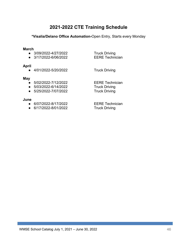### **2021-2022 CTE Training Schedule**

#### **\*Visalia/Delano Office Automation-**Open Entry, Starts every Monday

#### **March**

- 3/09/2022-4/27/2022 Truck Driving<br>● 3/17/2022-6/06/2022 EERE Technician
- $\bullet$  3/17/2022-6/06/2022

#### **April**

● 4/01/2022-5/20/2022 Truck Driving

#### **May**

- 
- 
- $\bullet$  5/25/2022-7/07/2022

#### **June**

- 
- $\bullet$  6/17/2022-8/01/2022

● 5/02/2022-7/12/2022 EERE Technician<br>● 5/03/2022-6/14/2022 Truck Driving ● 5/03/2022-6/14/2022 Truck Driving<br>● 5/25/2022-7/07/2022 Truck Driving

● 6/07/2022-8/17/2022 EERE Technician<br>● 6/17/2022-8/01/2022 Truck Driving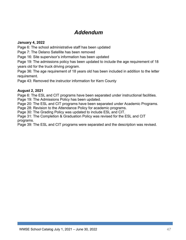### *Addendum*

### **January 4, 2022**

Page 6: The school administrative staff has been updated

Page 7: The Delano Satellite has been removed

Page 16: Site supervisor's information has been updated

Page 19: The admissions policy has been updated to include the age requirement of 18 years old for the truck driving program.

Page 36: The age requirement of 18 years old has been included in addition to the letter requirement.

Page 43: Removed the instructor information for Kern County

### **August 2, 2021**

Page 6: The ESL and CIT programs have been separated under instructional facilities. Page 19: The Admissions Policy has been updated.

Page 20: The ESL and CIT programs have been separated under Academic Programs.

Page 28: Revision to the Attendance Policy for academic programs.

Page 30: The Grading Policy was updated to include ESL and CIT.

Page 31: The Completion & Graduation Policy was revised for the ESL and CIT programs.

Page 39: The ESL and CIT programs were separated and the description was revised.